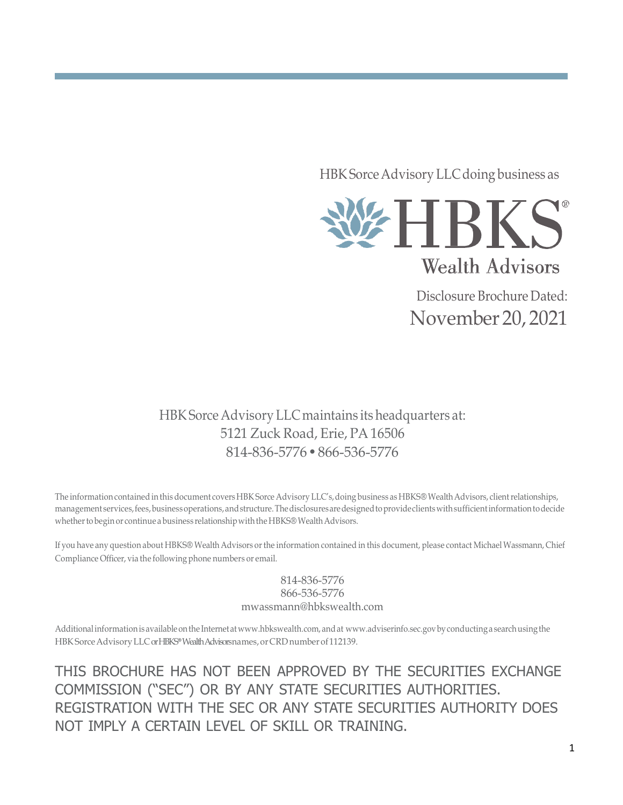HBK Sorce Advisory LLC doing business as



Disclosure Brochure Dated: November20, 2021

HBK Sorce Advisory LLC maintains its headquarters at: 5121 Zuck Road, Erie, PA 16506 814-836-5776•866-536-5776

The information contained in this document covers HBK Sorce Advisory LLC's, doing business as HBKS® Wealth Advisors, client relationships, management services,fees,businessoperations,andstructure.Thedisclosuresaredesignedtoprovideclientswithsufficientinformationtodecide whether to begin or continue a business relationship with the HBKS® Wealth Advisors.

If you have any question about HBKS® Wealth Advisors orthe information contained in this document, please contact MichaelWassmann, Chief Compliance Officer, via the following phone numbers or email.

> 814-836-5776 866-536-5776 [mwassmann@hbkswealth.com](mailto:mwassmann@hbkswealth.com)

Additional information is available on the Internet at [www.hbkswealth.com,](http://www.hbkswealth.com/) and at [www.adviserinfo.sec.govb](http://www.adviserinfo.sec.gov/)y conducting a search using the HBK Sorce Advisory LLC or HBKS® Wealth Advisors names, or CRD number of 112139.

THIS BROCHURE HAS NOT BEEN APPROVED BY THE SECURITIES EXCHANGE COMMISSION ("SEC") OR BY ANY STATE SECURITIES AUTHORITIES. REGISTRATION WITH THE SEC OR ANY STATE SECURITIES AUTHORITY DOES NOT IMPLY A CERTAIN LEVEL OF SKILL OR TRAINING.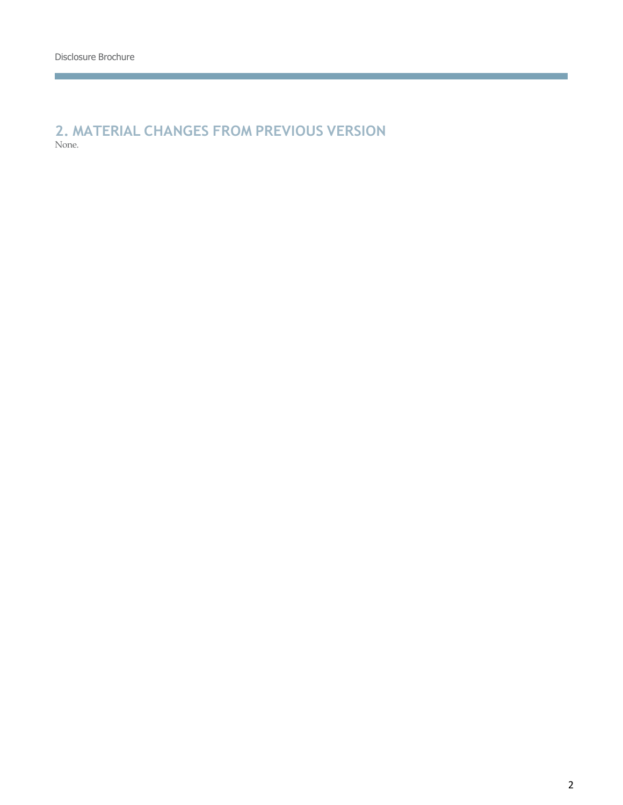**Contract Contract Contract Contract** 

### **2. MATERIAL CHANGES FROM PREVIOUS VERSION** None.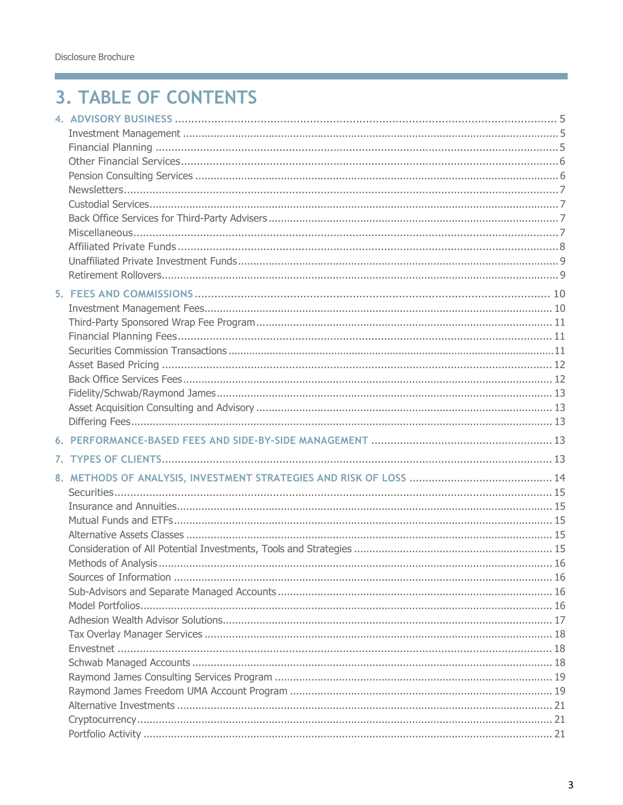**Contract Contract Contract Contract** 

## **3. TABLE OF CONTENTS**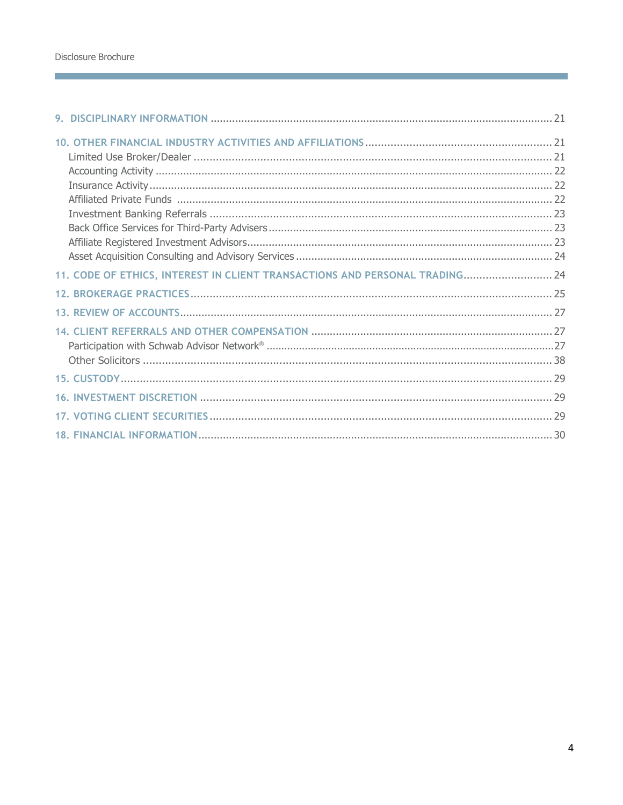| 11. CODE OF ETHICS, INTEREST IN CLIENT TRANSACTIONS AND PERSONAL TRADING 24 |  |
|-----------------------------------------------------------------------------|--|
|                                                                             |  |
|                                                                             |  |
|                                                                             |  |
|                                                                             |  |
|                                                                             |  |
|                                                                             |  |
|                                                                             |  |
|                                                                             |  |
|                                                                             |  |

and the state of the state of the state of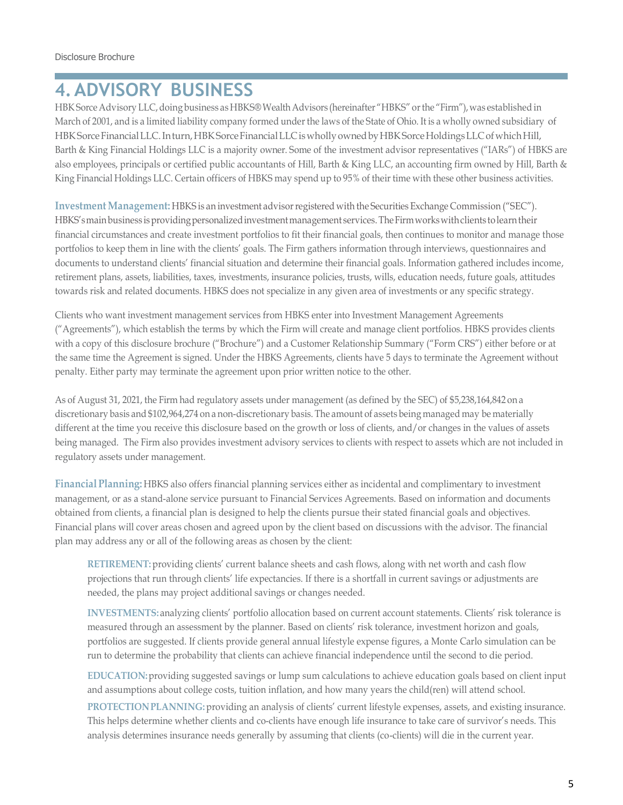## <span id="page-4-0"></span>**4.ADVISORY BUSINESS**

HBK Sorce Advisory LLC, doing business as HBKS® Wealth Advisors (hereinafter "HBKS" or the "Firm"), was established in March of 2001, and is a limited liability company formed under the laws of the State of Ohio. It is a wholly owned subsidiary of HBK Sorce Financial LLC. Inturn, HBK Sorce Financial LLC is wholly owned by HBK Sorce Holdings LLC of which Hill, Barth & King Financial Holdings LLC is a majority owner. Some of the investment advisor representatives ("IARs") of HBKS are also employees, principals or certified public accountants of Hill, Barth & King LLC, an accounting firm owned by Hill, Barth & King Financial Holdings LLC. Certain officers of HBKS may spend up to 95% of their time with these other business activities.

**Investment Management:** HBKS is an investment advisorregistered with the Securities Exchange Commission ("SEC"). HBKS's main business is providing personalized investment management services. The Firm works with clients to learn their financial circumstances and create investment portfolios to fit their financial goals, then continues to monitor and manage those portfolios to keep them in line with the clients' goals. The Firm gathers information through interviews, questionnaires and documents to understand clients' financial situation and determine their financial goals. Information gathered includes income, retirement plans, assets, liabilities, taxes, investments, insurance policies, trusts, wills, education needs, future goals, attitudes towards risk and related documents. HBKS does not specialize in any given area of investments or any specific strategy.

Clients who want investment management services from HBKS enter into Investment Management Agreements ("Agreements"), which establish the terms by which the Firm will create and manage client portfolios. HBKS provides clients with a copy of this disclosure brochure ("Brochure") and a Customer Relationship Summary ("Form CRS") either before or at the same time the Agreement is signed. Under the HBKS Agreements, clients have 5 days to terminate the Agreement without penalty. Either party may terminate the agreement upon prior written notice to the other.

As of August 31, 2021, the Firm had regulatory assets under management (as defined by the SEC) of \$5,238,164,842 on a discretionary basis and \$102,964,274 on a non-discretionary basis. The amount of assets being managed may be materially different at the time you receive this disclosure based on the growth or loss of clients, and/or changes in the values of assets being managed. The Firm also provides investment advisory services to clients with respect to assets which are not included in regulatory assets under management.

**Financial Planning:** HBKS also offers financial planning services either as incidental and complimentary to investment management, or as a stand-alone service pursuant to Financial Services Agreements. Based on information and documents obtained from clients, a financial plan is designed to help the clients pursue their stated financial goals and objectives. Financial plans will cover areas chosen and agreed upon by the client based on discussions with the advisor. The financial plan may address any or all of the following areas as chosen by the client:

**RETIREMENT:** providing clients' current balance sheets and cash flows, along with net worth and cash flow projections that run through clients' life expectancies. If there is a shortfall in current savings or adjustments are needed, the plans may project additional savings or changes needed.

**INVESTMENTS:** analyzing clients' portfolio allocation based on current account statements. Clients' risk tolerance is measured through an assessment by the planner. Based on clients' risk tolerance, investment horizon and goals, portfolios are suggested. If clients provide general annual lifestyle expense figures, a Monte Carlo simulation can be run to determine the probability that clients can achieve financial independence until the second to die period.

**EDUCATION:**providing suggested savings or lump sum calculations to achieve education goals based on client input and assumptions about college costs, tuition inflation, and how many years the child(ren) will attend school.

**PROTECTIONPLANNING:** providing an analysis of clients' current lifestyle expenses, assets, and existing insurance. This helps determine whether clients and co-clients have enough life insurance to take care of survivor's needs. This analysis determines insurance needs generally by assuming that clients (co-clients) will die in the current year.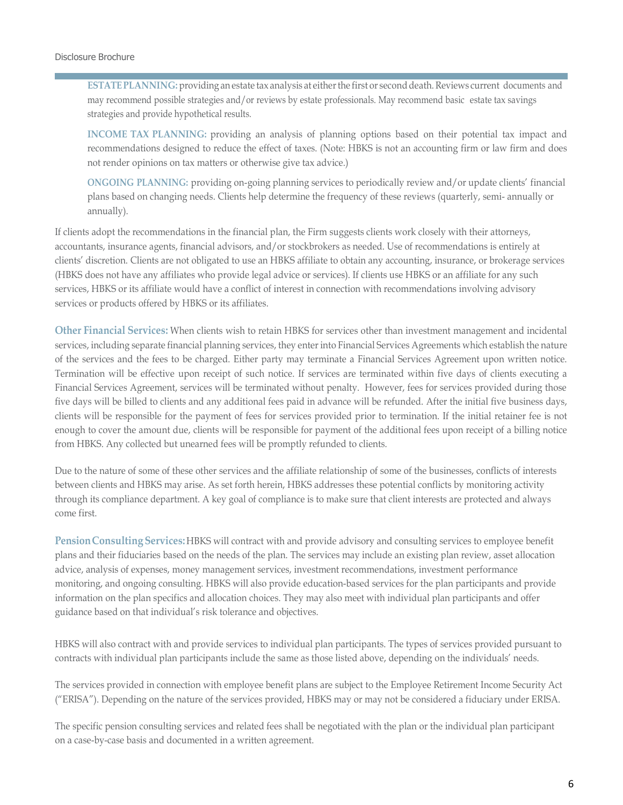**ESTATE PLANNING:** providing an estate tax analysis at either the first or second death. Reviews current documents and may recommend possible strategies and/or reviews by estate professionals. May recommend basic estate tax savings strategies and provide hypothetical results.

**INCOME TAX PLANNING:** providing an analysis of planning options based on their potential tax impact and recommendations designed to reduce the effect of taxes. (Note: HBKS is not an accounting firm or law firm and does not render opinions on tax matters or otherwise give tax advice.)

**ONGOING PLANNING:** providing on-going planning services to periodically review and/or update clients' financial plans based on changing needs. Clients help determine the frequency of these reviews (quarterly, semi- annually or annually).

If clients adopt the recommendations in the financial plan, the Firm suggests clients work closely with their attorneys, accountants, insurance agents, financial advisors, and/or stockbrokers as needed. Use of recommendations is entirely at clients' discretion. Clients are not obligated to use an HBKS affiliate to obtain any accounting, insurance, or brokerage services (HBKS does not have any affiliates who provide legal advice or services). If clients use HBKS or an affiliate for any such services, HBKS or its affiliate would have a conflict of interest in connection with recommendations involving advisory services or products offered by HBKS or its affiliates.

**Other Financial Services:** When clients wish to retain HBKS for services other than investment management and incidental services, including separate financial planning services, they enter into Financial Services Agreements which establish the nature of the services and the fees to be charged. Either party may terminate a Financial Services Agreement upon written notice. Termination will be effective upon receipt of such notice. If services are terminated within five days of clients executing a Financial Services Agreement, services will be terminated without penalty. However, fees for services provided during those five days will be billed to clients and any additional fees paid in advance will be refunded. After the initial five business days, clients will be responsible for the payment of fees for services provided prior to termination. If the initial retainer fee is not enough to cover the amount due, clients will be responsible for payment of the additional fees upon receipt of a billing notice from HBKS. Any collected but unearned fees will be promptly refunded to clients.

Due to the nature of some of these other services and the affiliate relationship of some of the businesses, conflicts of interests between clients and HBKS may arise. As set forth herein, HBKS addresses these potential conflicts by monitoring activity through its compliance department. A key goal of compliance is to make sure that client interests are protected and always come first.

**PensionConsulting Services:**HBKS will contract with and provide advisory and consulting services to employee benefit plans and their fiduciaries based on the needs of the plan. The services may include an existing plan review, asset allocation advice, analysis of expenses, money management services, investment recommendations, investment performance monitoring, and ongoing consulting. HBKS will also provide education-based services for the plan participants and provide information on the plan specifics and allocation choices. They may also meet with individual plan participants and offer guidance based on that individual's risk tolerance and objectives.

HBKS will also contract with and provide services to individual plan participants. The types of services provided pursuant to contracts with individual plan participants include the same as those listed above, depending on the individuals' needs.

The services provided in connection with employee benefit plans are subject to the Employee Retirement Income Security Act ("ERISA"). Depending on the nature of the services provided, HBKS may or may not be considered a fiduciary under ERISA.

The specific pension consulting services and related fees shall be negotiated with the plan or the individual plan participant on a case-by-case basis and documented in a written agreement.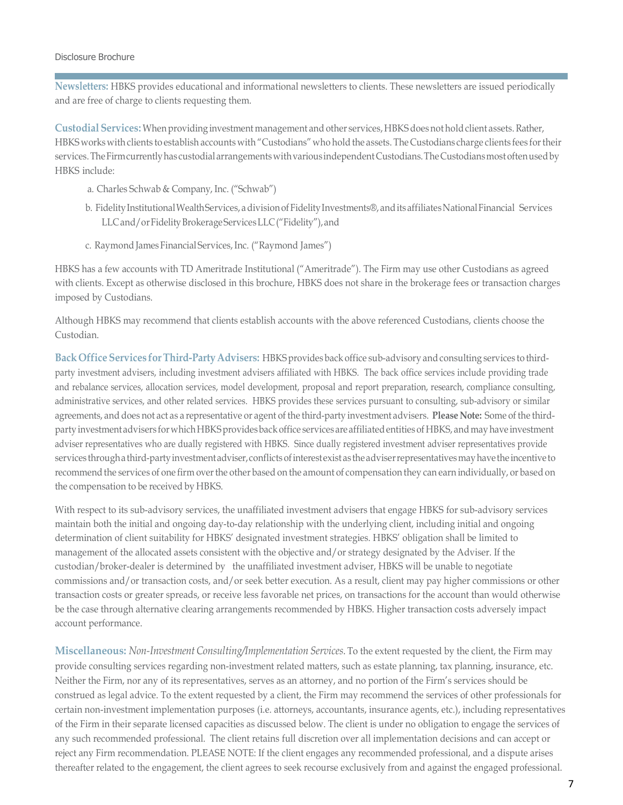**Newsletters:** HBKS provides educational and informational newsletters to clients. These newsletters are issued periodically and are free of charge to clients requesting them.

**Custodial Services:** Whenproviding investment management and other services, HBKS does not holdclient assets. Rather, HBKS works with clients to establish accounts with "Custodians"who hold the assets. The Custodians charge clients fees fortheir services. The Firm currently has custodial arrangements with various independent Custodians. The Custodians most often used by HBKS include:

- a. Charles Schwab & Company, Inc. ("Schwab")
- b. Fidelity Institutional Wealth Services, a division of Fidelity Investments®, and its affiliates National Financial Services LLCand/orFidelityBrokerageServicesLLC("Fidelity"), and
- c. Raymond James Financial Services, Inc. ("Raymond James")

HBKS has a few accounts with TD Ameritrade Institutional ("Ameritrade"). The Firm may use other Custodians as agreed with clients. Except as otherwise disclosed in this brochure, HBKS does not share in the brokerage fees or transaction charges imposed by Custodians.

Although HBKS may recommend that clients establish accounts with the above referenced Custodians, clients choose the Custodian.

**Back Office Services forThird-PartyAdvisers:** HBKS provides back office sub-advisory andconsulting services to thirdparty investment advisers, including investment advisers affiliated with HBKS. The back office services include providing trade and rebalance services, allocation services, model development, proposal and report preparation, research, compliance consulting, administrative services, and other related services. HBKS provides these services pursuant to consulting, sub-advisory or similar agreements, and does not act as a representative or agent of the third-party investment advisers. **Please Note:** Some of the thirdparty investment advisers for which HBKS provides back office services are affiliated entities of HBKS, and may have investment adviser representatives who are dually registered with HBKS. Since dually registered investment adviser representatives provide services through a third-party investment adviser, conflicts of interest exist as the adviser representatives may have the incentive to recommend the services of one firm over the other based on the amount of compensation they can earn individually, or based on the compensation to be received by HBKS.

With respect to its sub-advisory services, the unaffiliated investment advisers that engage HBKS for sub-advisory services maintain both the initial and ongoing day-to-day relationship with the underlying client, including initial and ongoing determination of client suitability for HBKS' designated investment strategies. HBKS' obligation shall be limited to management of the allocated assets consistent with the objective and/or strategy designated by the Adviser. If the custodian/broker-dealer is determined by the unaffiliated investment adviser, HBKS will be unable to negotiate commissions and/or transaction costs, and/or seek better execution. As a result, client may pay higher commissions or other transaction costs or greater spreads, or receive less favorable net prices, on transactions for the account than would otherwise be the case through alternative clearing arrangements recommended by HBKS. Higher transaction costs adversely impact account performance.

<span id="page-6-0"></span>**Miscellaneous:** *Non-Investment Consulting/Implementation Services.* To the extent requested by the client, the Firm may provide consulting services regarding non-investment related matters, such as estate planning, tax planning, insurance, etc. Neither the Firm, nor any of its representatives, serves as an attorney, and no portion of the Firm's services should be construed as legal advice. To the extent requested by a client, the Firm may recommend the services of other professionals for certain non-investment implementation purposes (i.e. attorneys, accountants, insurance agents, etc.), including representatives of the Firm in their separate licensed capacities as discussed below. The client is under no obligation to engage the services of any such recommended professional. The client retains full discretion over all implementation decisions and can accept or reject any Firm recommendation. PLEASE NOTE: If the client engages any recommended professional, and a dispute arises thereafter related to the engagement, the client agrees to seek recourse exclusively from and against the engaged professional.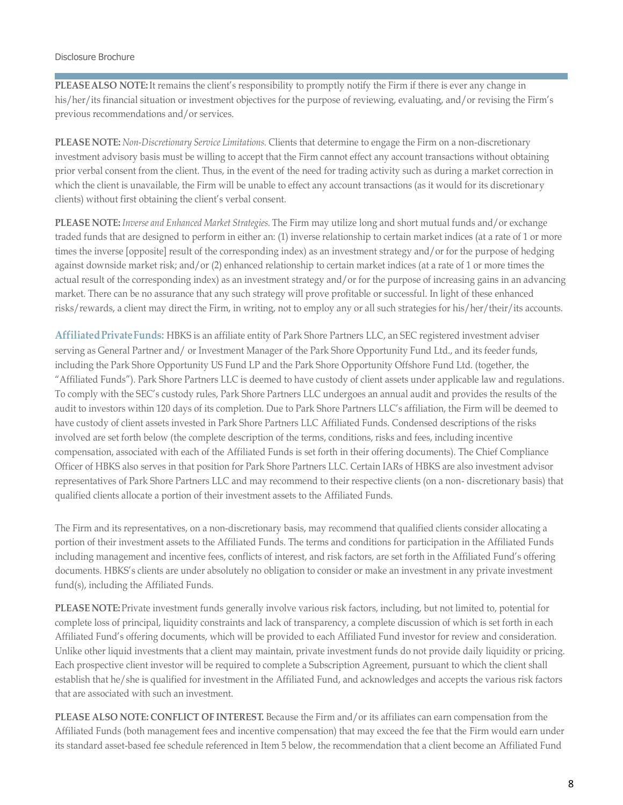**PLEASEALSO NOTE:**It remains the client's responsibility to promptly notify the Firm if there is ever any change in his/her/its financial situation or investment objectives for the purpose of reviewing, evaluating, and/or revising the Firm's previous recommendations and/or services.

**PLEASE NOTE:** *Non-Discretionary Service Limitations.* Clients that determine to engage the Firm on a non-discretionary investment advisory basis must be willing to accept that the Firm cannot effect any account transactions without obtaining prior verbal consent from the client. Thus, in the event of the need for trading activity such as during a market correction in which the client is unavailable, the Firm will be unable to effect any account transactions (as it would for its discretionary clients) without first obtaining the client's verbal consent.

**PLEASE NOTE:** *Inverse and Enhanced Market Strategies.* The Firm may utilize long and short mutual funds and/or exchange traded funds that are designed to perform in either an: (1) inverse relationship to certain market indices (at a rate of 1 or more times the inverse [opposite] result of the corresponding index) as an investment strategy and/or for the purpose of hedging against downside market risk; and/or (2) enhanced relationship to certain market indices (at a rate of 1 or more times the actual result of the corresponding index) as an investment strategy and/or for the purpose of increasing gains in an advancing market. There can be no assurance that any such strategy will prove profitable or successful. In light of these enhanced risks/rewards, a client may direct the Firm, in writing, not to employ any or all such strategies for his/her/their/its accounts.

<span id="page-7-0"></span>**AffiliatedPrivateFunds:** HBKS is an affiliate entity of Park Shore Partners LLC, an SEC registered investment adviser serving as General Partner and/ or Investment Manager of the Park Shore Opportunity Fund Ltd., and its feeder funds, including the Park Shore Opportunity US Fund LP and the Park Shore Opportunity Offshore Fund Ltd. (together, the "Affiliated Funds"). Park Shore Partners LLC is deemed to have custody of client assets under applicable law and regulations. To comply with the SEC's custody rules, Park Shore Partners LLC undergoes an annual audit and provides the results of the audit to investors within 120 days of its completion. Due to Park Shore Partners LLC's affiliation, the Firm will be deemed to have custody of client assets invested in Park Shore Partners LLC Affiliated Funds. Condensed descriptions of the risks involved are set forth below (the complete description of the terms, conditions, risks and fees, including incentive compensation, associated with each of the Affiliated Funds is set forth in their offering documents). The Chief Compliance Officer of HBKS also serves in that position for Park Shore Partners LLC. Certain IARs of HBKS are also investment advisor representatives of Park Shore Partners LLC and may recommend to their respective clients (on a non- discretionary basis) that qualified clients allocate a portion of their investment assets to the Affiliated Funds.

The Firm and its representatives, on a non-discretionary basis, may recommend that qualified clients consider allocating a portion of their investment assets to the Affiliated Funds. The terms and conditions for participation in the Affiliated Funds including management and incentive fees, conflicts of interest, and risk factors, are set forth in the Affiliated Fund's offering documents. HBKS's clients are under absolutely no obligation to consider or make an investment in any private investment fund(s), including the Affiliated Funds.

**PLEASE NOTE:** Private investment funds generally involve various risk factors, including, but not limited to, potential for complete loss of principal, liquidity constraints and lack of transparency, a complete discussion of which is set forth in each Affiliated Fund's offering documents, which will be provided to each Affiliated Fund investor for review and consideration. Unlike other liquid investments that a client may maintain, private investment funds do not provide daily liquidity or pricing. Each prospective client investor will be required to complete a Subscription Agreement, pursuant to which the client shall establish that he/she is qualified for investment in the Affiliated Fund, and acknowledges and accepts the various risk factors that are associated with such an investment.

**PLEASE ALSO NOTE: CONFLICT OF INTEREST.** Because the Firm and/or its affiliates can earn compensation from the Affiliated Funds (both management fees and incentive compensation) that may exceed the fee that the Firm would earn under its standard asset-based fee schedule referenced in Item 5 below, the recommendation that a client become an Affiliated Fund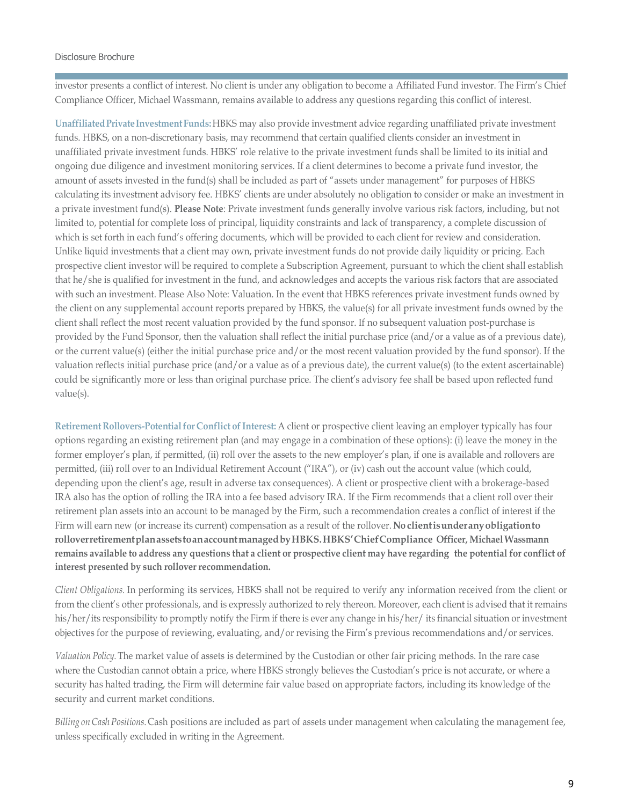investor presents a conflict of interest. No client is under any obligation to become a Affiliated Fund investor. The Firm's Chief Compliance Officer, Michael Wassmann, remains available to address any questions regarding this conflict of interest.

**UnaffiliatedPrivateInvestmentFunds:**HBKS may also provide investment advice regarding unaffiliated private investment funds. HBKS, on a non-discretionary basis, may recommend that certain qualified clients consider an investment in unaffiliated private investment funds. HBKS' role relative to the private investment funds shall be limited to its initial and ongoing due diligence and investment monitoring services. If a client determines to become a private fund investor, the amount of assets invested in the fund(s) shall be included as part of "assets under management" for purposes of HBKS calculating its investment advisory fee. HBKS' clients are under absolutely no obligation to consider or make an investment in a private investment fund(s). **Please Note**: Private investment funds generally involve various risk factors, including, but not limited to, potential for complete loss of principal, liquidity constraints and lack of transparency, a complete discussion of which is set forth in each fund's offering documents, which will be provided to each client for review and consideration. Unlike liquid investments that a client may own, private investment funds do not provide daily liquidity or pricing. Each prospective client investor will be required to complete a Subscription Agreement, pursuant to which the client shall establish that he/she is qualified for investment in the fund, and acknowledges and accepts the various risk factors that are associated with such an investment. Please Also Note: Valuation. In the event that HBKS references private investment funds owned by the client on any supplemental account reports prepared by HBKS, the value(s) for all private investment funds owned by the client shall reflect the most recent valuation provided by the fund sponsor. If no subsequent valuation post-purchase is provided by the Fund Sponsor, then the valuation shall reflect the initial purchase price (and/or a value as of a previous date), or the current value(s) (either the initial purchase price and/or the most recent valuation provided by the fund sponsor). If the valuation reflects initial purchase price (and/or a value as of a previous date), the current value(s) (to the extent ascertainable) could be significantly more or less than original purchase price. The client's advisory fee shall be based upon reflected fund value(s).

**Retirement Rollovers-Potential for Conflict of Interest:** A client or prospective client leaving an employer typically has four options regarding an existing retirement plan (and may engage in a combination of these options): (i) leave the money in the former employer's plan, if permitted, (ii) roll over the assets to the new employer's plan, if one is available and rollovers are permitted, (iii) roll over to an Individual Retirement Account ("IRA"), or (iv) cash out the account value (which could, depending upon the client's age, result in adverse tax consequences). A client or prospective client with a brokerage-based IRA also has the option of rolling the IRA into a fee based advisory IRA. If the Firm recommends that a client roll over their retirement plan assets into an account to be managed by the Firm, such a recommendation creates a conflict of interest if the Firm will earn new (or increase its current) compensation as a result of the rollover. **No clientisunderanyobligationto rolloverretirementplanassetstoanaccountmanagedbyHBKS.HBKS'ChiefCompliance Officer, Michael Wassmann** remains available to address any questions that a client or prospective client may have regarding the potential for conflict of **interest presented by such rollover recommendation.**

*Client Obligations.* In performing its services, HBKS shall not be required to verify any information received from the client or from the client's other professionals, and is expressly authorized to rely thereon. Moreover, each client is advised that it remains his/her/its responsibility to promptly notify the Firm if there is ever any change in his/her/ its financial situation or investment objectives for the purpose of reviewing, evaluating, and/or revising the Firm's previous recommendations and/or services.

*Valuation Policy.* The market value of assets is determined by the Custodian or other fair pricing methods. In the rare case where the Custodian cannot obtain a price, where HBKS strongly believes the Custodian's price is not accurate, or where a security has halted trading, the Firm will determine fair value based on appropriate factors, including its knowledge of the security and current market conditions.

*Billing onCash Positions.*Cash positions are included as part of assets under management when calculating the management fee, unless specifically excluded in writing in the Agreement.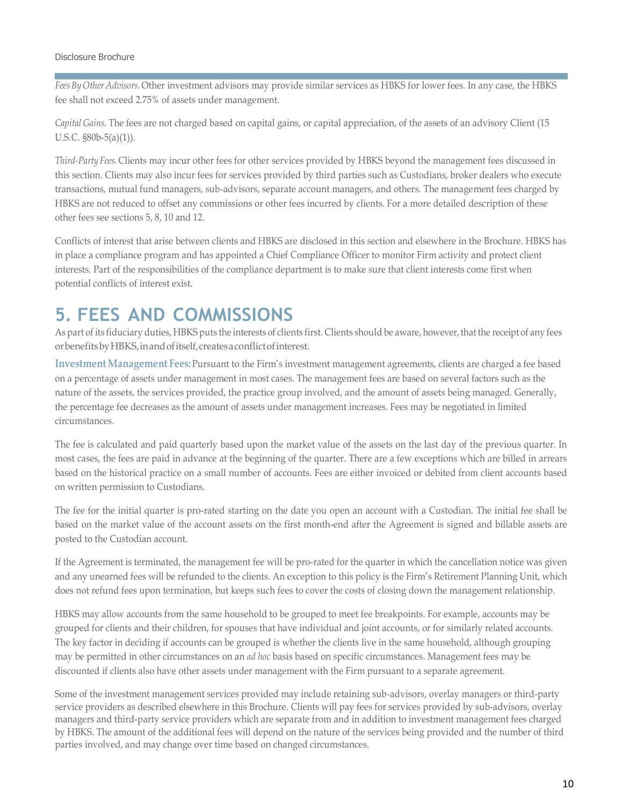*FeesBy Other Advisors.* Other investment advisors may provide similar services as HBKS for lower fees. In any case, the HBKS fee shall not exceed 2.75% of assets under management.

*Capital Gains.* The fees are not charged based on capital gains, or capital appreciation, of the assets of an advisory Client (15 U.S.C. §80b-5(a)(1)).

*Third-Party Fees.* Clients may incur other fees for other services provided by HBKS beyond the management fees discussed in this section. Clients may also incur fees for services provided by third parties such as Custodians, broker dealers who execute transactions, mutual fund managers, sub-advisors, separate account managers, and others. The management fees charged by HBKS are not reduced to offset any commissions or other fees incurred by clients. For a more detailed description of these other fees see sections 5, 8, 10 and 12.

Conflicts of interest that arise between clients and HBKS are disclosed in this section and elsewhere in the Brochure. HBKS has in place a compliance program and has appointed a Chief Compliance Officer to monitor Firm activity and protect client interests. Part of the responsibilities of the compliance department is to make sure that client interests come first when potential conflicts of interest exist.

## <span id="page-9-0"></span>**5. FEES AND COMMISSIONS**

As part of its fiduciary duties, HBKS puts the interests of clients first. Clients should be aware, however, that the receipt of any fees orbenefitsbyHBKS,inandofitself,createsaconflictofinterest.

**InvestmentManagement Fees:**Pursuant to the Firm's investment management agreements, clients are charged a fee based on a percentage of assets under management in most cases. The management fees are based on several factors such as the nature of the assets, the services provided, the practice group involved, and the amount of assets being managed. Generally, the percentage fee decreases as the amount of assets under management increases. Fees may be negotiated in limited circumstances.

The fee is calculated and paid quarterly based upon the market value of the assets on the last day of the previous quarter. In most cases, the fees are paid in advance at the beginning of the quarter. There are a few exceptions which are billed in arrears based on the historical practice on a small number of accounts. Fees are either invoiced or debited from client accounts based on written permission to Custodians.

The fee for the initial quarter is pro-rated starting on the date you open an account with a Custodian. The initial fee shall be based on the market value of the account assets on the first month-end after the Agreement is signed and billable assets are posted to the Custodian account.

If the Agreement is terminated, the management fee will be pro-rated for the quarter in which the cancellation notice was given and any unearned fees will be refunded to the clients. An exception to this policy is the Firm's Retirement Planning Unit, which does not refund fees upon termination, but keeps such fees to cover the costs of closing down the management relationship.

HBKS may allow accounts from the same household to be grouped to meet fee breakpoints. For example, accounts may be grouped for clients and their children, for spouses that have individual and joint accounts, or for similarly related accounts. The key factor in deciding if accounts can be grouped is whether the clients live in the same household, although grouping may be permitted in other circumstances on an *ad hoc* basis based on specific circumstances. Management fees may be discounted if clients also have other assets under management with the Firm pursuant to a separate agreement.

Some of the investment management services provided may include retaining sub-advisors, overlay managers or third-party service providers as described elsewhere in this Brochure. Clients will pay fees for services provided by sub-advisors, overlay managers and third-party service providers which are separate from and in addition to investment management fees charged by HBKS. The amount of the additional fees will depend on the nature of the services being provided and the number of third parties involved, and may change over time based on changed circumstances.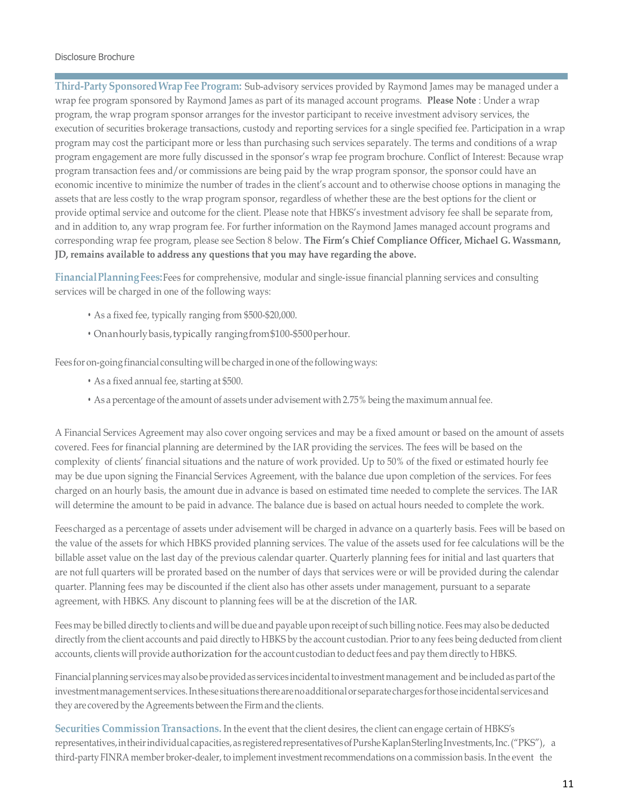**Third-Party SponsoredWrapFee Program:** Sub-advisory services provided by Raymond James may be managed under a wrap fee program sponsored by Raymond James as part of its managed account programs. **Please Note** : Under a wrap program, the wrap program sponsor arranges for the investor participant to receive investment advisory services, the execution of securities brokerage transactions, custody and reporting services for a single specified fee. Participation in a wrap program may cost the participant more or less than purchasing such services separately. The terms and conditions of a wrap program engagement are more fully discussed in the sponsor's wrap fee program brochure. Conflict of Interest: Because wrap program transaction fees and/or commissions are being paid by the wrap program sponsor, the sponsor could have an economic incentive to minimize the number of trades in the client's account and to otherwise choose options in managing the assets that are less costly to the wrap program sponsor, regardless of whether these are the best options for the client or provide optimal service and outcome for the client. Please note that HBKS's investment advisory fee shall be separate from, and in addition to, any wrap program fee. For further information on the Raymond James managed account programs and corresponding wrap fee program, please see Section 8 below. **The Firm's Chief Compliance Officer, Michael G. Wassmann, JD, remains available to address any questions that you may have regarding the above.**

**FinancialPlanningFees:**Fees for comprehensive, modular and single-issue financial planning services and consulting services will be charged in one of the following ways:

- As a fixed fee, typically ranging from \$500-\$20,000.
- Onanhourlybasis,typically rangingfrom\$100-\$500perhour.

Fees for on-going financial consulting will be charged in one of the following ways:

- As a fixed annual fee, starting at \$500.
- As a percentage of the amount of assets under advisement with 2.75% being the maximum annual fee.

A Financial Services Agreement may also cover ongoing services and may be a fixed amount or based on the amount of assets covered. Fees for financial planning are determined by the IAR providing the services. The fees will be based on the complexity of clients' financial situations and the nature of work provided. Up to 50% of the fixed or estimated hourly fee may be due upon signing the Financial Services Agreement, with the balance due upon completion of the services. For fees charged on an hourly basis, the amount due in advance is based on estimated time needed to complete the services. The IAR will determine the amount to be paid in advance. The balance due is based on actual hours needed to complete the work.

Fees charged as a percentage of assets under advisement will be charged in advance on a quarterly basis. Fees will be based on the value of the assets for which HBKS provided planning services. The value of the assets used for fee calculations will be the billable asset value on the last day of the previous calendar quarter. Quarterly planning fees for initial and last quarters that are not full quarters will be prorated based on the number of days that services were or will be provided during the calendar quarter. Planning fees may be discounted if the client also has other assets under management, pursuant to a separate agreement, with HBKS. Any discount to planning fees will be at the discretion of the IAR.

Feesmay be billed directly to clients and will be due and payable upon receipt of such billing notice. Fees may also be deducted directly from the client accounts and paid directly to HBKS by the account custodian. Priorto any fees being deducted from client accounts, clients will provide authorization for the account custodian to deduct fees and pay them directly to HBKS.

Financial planning services may also be provided as services incidental to investment management and be included as part of the investmentmanagement services.Inthese situations therearenoadditionalorseparatechargesforthoseincidental servicesand they are covered by the Agreements between the Firm and the clients.

**Securities Commission Transactions.** In the event that the client desires, the client can engage certain of HBKS's representatives, in their individual capacities, as registered representatives of Purshe Kaplan Sterling Investments, Inc. ("PKS"), a third-party FINRA member broker-dealer, to implement investment recommendations on a commission basis. In the event the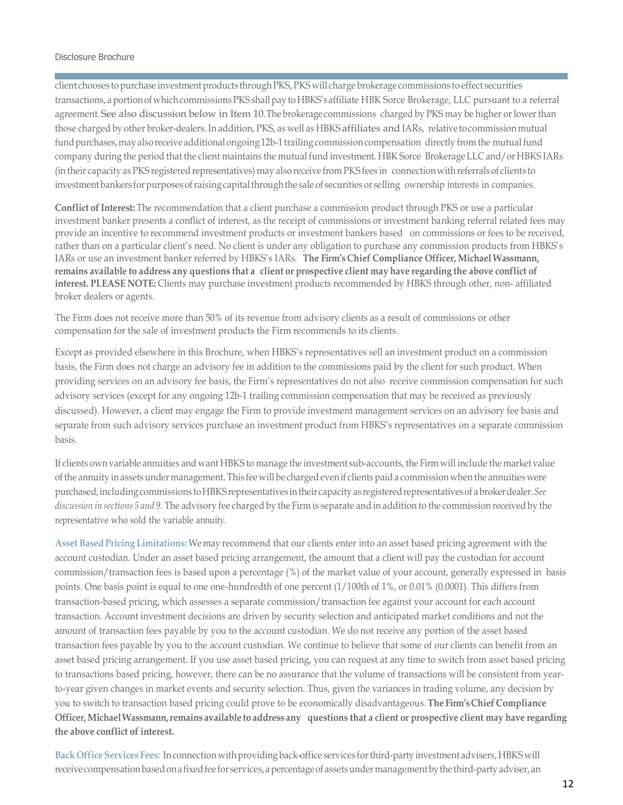client chooses to purchase investment products through PKS, PKS will charge brokerage commissions to effect securities transactions, aportionof whichcommissionsPKS shallpayto HBKS'saffiliate HBK Sorce Brokerage, LLC pursuant to a referral agreement. See also discussion below in Item 10. The brokerage commissions charged by PKS may be higher or lowerthan those charged by other broker-dealers. In addition, PKS, as well as HBKS affiliates and IARs, relative tocommissionmutual fund purchases, may also receive additional ongoing 12b-1 trailing commission compensation directly from the mutual fund company during the period that the client maintains the mutual fund investment. HBK Sorce Brokerage LLC and/or HBKS IARs (in their capacity as PKS registered representatives) may also receive from PKS fees in connection with referralsof clients to investment bankers for purposes of raising capital through the sale of securities or selling ownership interests in companies.

**Conflict of Interest:** The recommendation that a client purchase a commission product through PKS or use a particular investment banker presents a conflict of interest, as the receipt of commissions or investment banking referral related fees may provide an incentive to recommend investment products or investment bankers based on commissions or fees to be received, rather than on a particular client's need. No client is under any obligation to purchase any commission products from HBKS's IARs or use an investment banker referred by HBKS's IARs. **The Firm's Chief Compliance Officer, Michael Wassmann,** remains available to address any questions that a client or prospective client may have regarding the above conflict of **interest. PLEASE NOTE:** Clients may purchase investment products recommended by HBKS through other, non- affiliated broker dealers or agents.

The Firm does not receive more than 50% of its revenue from advisory clients as a result of commissions or other compensation for the sale of investment products the Firm recommends to its clients.

Except as provided elsewhere in this Brochure, when HBKS's representatives sell an investment product on a commission basis, the Firm does not charge an advisory fee in addition to the commissions paid by the client for such product. When providing services on an advisory fee basis, the Firm's representatives do not also receive commission compensation for such advisory services (except for any ongoing 12b-1 trailing commission compensation that may be received as previously discussed). However, a client may engage the Firm to provide investment management services on an advisory fee basis and separate from such advisory services purchase an investment product from HBKS's representatives on a separate commission basis.

If clients own variable annuities and want HBKS to manage the investment sub-accounts, the Firm will include the market value of the annuity in assets under management. This fee will be charged even if clients paid a commission when the annuities were purchased, including commissions to HBKS representatives in their capacity as registered representatives of a broker dealer. See *discussion in sections 5 and 9.* The advisory fee charged by the Firm is separate and in addition to the commission received by the representative who sold the variable annuity.

**Asset Based Pricing Limitations:** Wemay recommend that our clients enter into an asset based pricing agreement with the account custodian. Under an asset based pricing arrangement, the amount that a client will pay the custodian for account commission/transaction fees is based upon a percentage (%) of the market value of your account, generally expressed in basis points. One basis point is equal to one one-hundredth of one percent (1/100th of 1%, or 0.01% (0.0001). This differs from transaction-based pricing, which assesses a separate commission/transaction fee against your account for each account transaction. Account investment decisions are driven by security selection and anticipated market conditions and not the amount of transaction fees payable by you to the account custodian. We do not receive any portion of the asset based transaction fees payable by you to the account custodian. We continue to believe that some of our clients can benefit from an asset based pricing arrangement. If you use asset based pricing, you can request at any time to switch from asset based pricing to transactions based pricing, however, there can be no assurance that the volume of transactions will be consistent from yearto-year given changes in market events and security selection. Thus, given the variances in trading volume, any decision by you to switch to transaction based pricing could prove to be economically disadvantageous. **The Firm'sChief Compliance** Officer, Michael Wassmann, remains available to address any questions that a client or prospective client may have regarding **the above conflict of interest.**

Back Office Services Fees: In connection with providing back-office services for third-party investment advisers, HBKS will receive compensation based on a fixed fee for services, a percentage of assets under management by the third-party adviser, an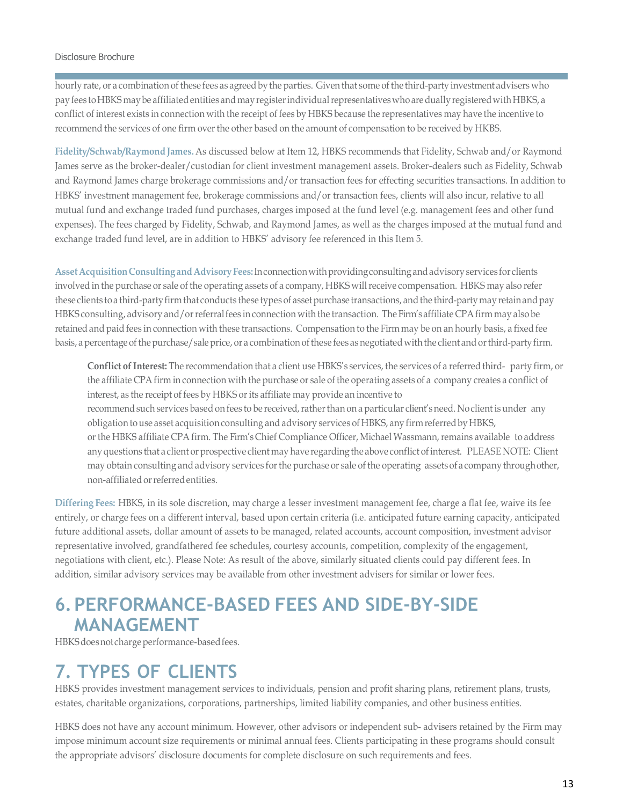hourly rate, or a combination of these fees as agreed by the parties. Given that some of the third-party investment advisers who pay fees to HBKS may be affiliated entities and may register individual representatives who are dually registered with HBKS, a conflict of interest exists in connection with the receipt of fees by HBKS because the representatives may have the incentive to recommend the services of one firm overthe other based on the amount of compensation to be received by HKBS.

**Fidelity/Schwab/Raymond James.** As discussed below at Item 12, HBKS recommends that Fidelity, Schwab and/or Raymond James serve as the broker-dealer/custodian for client investment management assets. Broker-dealers such as Fidelity, Schwab and Raymond James charge brokerage commissions and/or transaction fees for effecting securities transactions. In addition to HBKS' investment management fee, brokerage commissions and/or transaction fees, clients will also incur, relative to all mutual fund and exchange traded fund purchases, charges imposed at the fund level (e.g. management fees and other fund expenses). The fees charged by Fidelity, Schwab, and Raymond James, as well as the charges imposed at the mutual fund and exchange traded fund level, are in addition to HBKS' advisory fee referenced in this Item 5.

**AssetAcquisitionConsultingandAdvisoryFees:**Inconnectionwithprovidingconsultingandadvisory services for clients involved in the purchase or sale of the operating assets of a company, HBKS willreceive compensation. HBKS may also refer these clients to a third-party firm that conducts these types of asset purchase transactions, and the third-party may retain and pay HBKS consulting, advisory and/orreferralfees in connection with the transaction. The Firm'saffiliate CPAfirm may also be retained and paid fees in connection with these transactions. Compensation to the Firm may be on an hourly basis, a fixed fee basis, a percentage of the purchase/sale price, or a combination of these fees as negotiated with the client and or third-party firm.

**Conflict of Interest:** The recommendation that a client use HBKS's services, the services of a referred third- party firm, or the affiliate CPAfirm in connection with the purchase or sale of the operating assets of a company creates a conflict of interest, as the receipt of fees by HBKS or its affiliate may provide an incentive to recommend such services based on fees to be received, rather than on a particular client's need. No client is under any obligation touse asset acquisition consulting and advisory services of HBKS, any firm referredbyHBKS, or the HBKS affiliate CPA firm. The Firm's Chief Compliance Officer, Michael Wassmann,remains available to address any questions that a client or prospective client may have regarding the above conflict of interest. PLEASE NOTE: Client may obtain consulting and advisory services for the purchase or sale of the operating assets of a company through other, non-affiliated or referred entities.

**Differing Fees:** HBKS, in its sole discretion, may charge a lesser investment management fee, charge a flat fee, waive its fee entirely, or charge fees on a different interval, based upon certain criteria (i.e. anticipated future earning capacity, anticipated future additional assets, dollar amount of assets to be managed, related accounts, account composition, investment advisor representative involved, grandfathered fee schedules, courtesy accounts, competition, complexity of the engagement, negotiations with client, etc.). Please Note: As result of the above, similarly situated clients could pay different fees. In addition, similar advisory services may be available from other investment advisers for similar or lower fees.

## <span id="page-12-0"></span>**6.PERFORMANCE-BASED FEES AND SIDE-BY-SIDE MANAGEMENT**

HBKS does not charge performance-based fees.

### <span id="page-12-1"></span>**7. TYPES OF CLIENTS**

HBKS provides investment management services to individuals, pension and profit sharing plans, retirement plans, trusts, estates, charitable organizations, corporations, partnerships, limited liability companies, and other business entities.

HBKS does not have any account minimum. However, other advisors or independent sub- advisers retained by the Firm may impose minimum account size requirements or minimal annual fees. Clients participating in these programs should consult the appropriate advisors' disclosure documents for complete disclosure on such requirements and fees.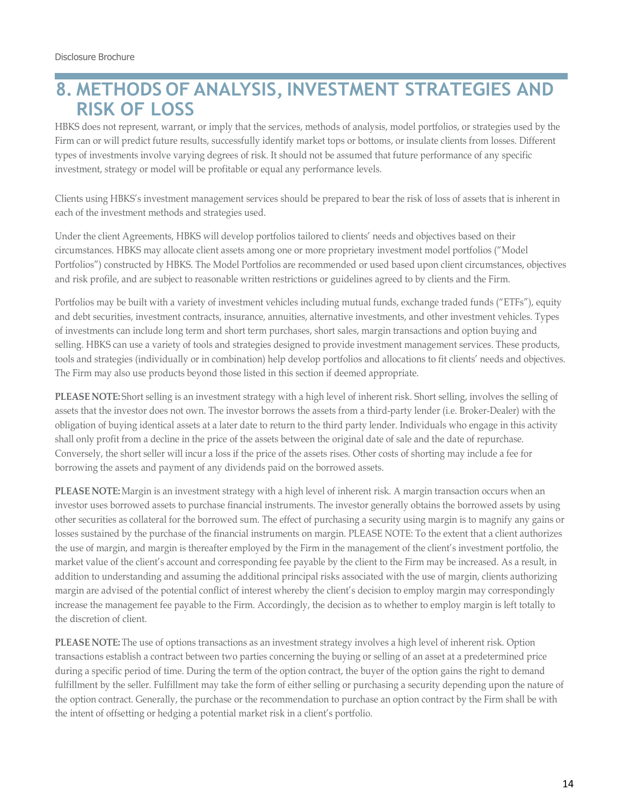## <span id="page-13-0"></span>**8. METHODS OF ANALYSIS,INVESTMENT STRATEGIES AND RISK OF LOSS**

HBKS does not represent, warrant, or imply that the services, methods of analysis, model portfolios, or strategies used by the Firm can or will predict future results, successfully identify market tops or bottoms, or insulate clients from losses. Different types of investments involve varying degrees of risk. It should not be assumed that future performance of any specific investment, strategy or model will be profitable or equal any performance levels.

Clients using HBKS's investment management services should be prepared to bear the risk of loss of assets that is inherent in each of the investment methods and strategies used.

Under the client Agreements, HBKS will develop portfolios tailored to clients' needs and objectives based on their circumstances. HBKS may allocate client assets among one or more proprietary investment model portfolios ("Model Portfolios") constructed by HBKS. The Model Portfolios are recommended or used based upon client circumstances, objectives and risk profile, and are subject to reasonable written restrictions or guidelines agreed to by clients and the Firm.

Portfolios may be built with a variety of investment vehicles including mutual funds, exchange traded funds ("ETFs"), equity and debt securities, investment contracts, insurance, annuities, alternative investments, and other investment vehicles. Types of investments can include long term and short term purchases, short sales, margin transactions and option buying and selling. HBKS can use a variety of tools and strategies designed to provide investment management services. These products, tools and strategies (individually or in combination) help develop portfolios and allocations to fit clients' needs and objectives. The Firm may also use products beyond those listed in this section if deemed appropriate.

**PLEASE NOTE:** Short selling is an investment strategy with a high level of inherent risk. Short selling, involves the selling of assets that the investor does not own. The investor borrows the assets from a third-party lender (i.e. Broker-Dealer) with the obligation of buying identical assets at a later date to return to the third party lender. Individuals who engage in this activity shall only profit from a decline in the price of the assets between the original date of sale and the date of repurchase. Conversely, the short seller will incur a loss if the price of the assets rises. Other costs of shorting may include a fee for borrowing the assets and payment of any dividends paid on the borrowed assets.

**PLEASE NOTE:** Margin is an investment strategy with a high level of inherent risk. A margin transaction occurs when an investor uses borrowed assets to purchase financial instruments. The investor generally obtains the borrowed assets by using other securities as collateral for the borrowed sum. The effect of purchasing a security using margin is to magnify any gains or losses sustained by the purchase of the financial instruments on margin. PLEASE NOTE: To the extent that a client authorizes the use of margin, and margin is thereafter employed by the Firm in the management of the client's investment portfolio, the market value of the client's account and corresponding fee payable by the client to the Firm may be increased. As a result, in addition to understanding and assuming the additional principal risks associated with the use of margin, clients authorizing margin are advised of the potential conflict of interest whereby the client's decision to employ margin may correspondingly increase the management fee payable to the Firm. Accordingly, the decision as to whether to employ margin is left totally to the discretion of client.

**PLEASE NOTE:** The use of options transactions as an investment strategy involves a high level of inherent risk. Option transactions establish a contract between two parties concerning the buying or selling of an asset at a predetermined price during a specific period of time. During the term of the option contract, the buyer of the option gains the right to demand fulfillment by the seller. Fulfillment may take the form of either selling or purchasing a security depending upon the nature of the option contract. Generally, the purchase or the recommendation to purchase an option contract by the Firm shall be with the intent of offsetting or hedging a potential market risk in a client's portfolio.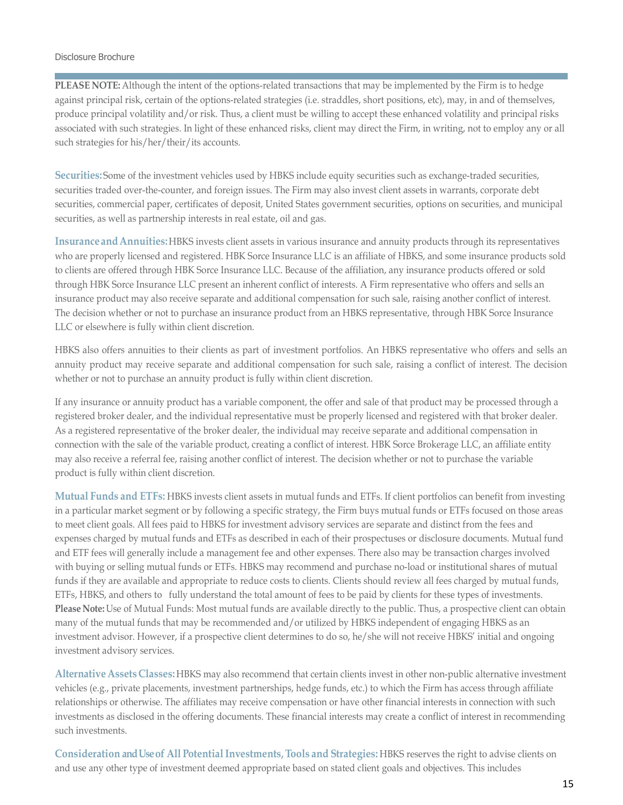**PLEASE NOTE:** Although the intent of the options-related transactions that may be implemented by the Firm is to hedge against principal risk, certain of the options-related strategies (i.e. straddles, short positions, etc), may, in and of themselves, produce principal volatility and/or risk. Thus, a client must be willing to accept these enhanced volatility and principal risks associated with such strategies. In light of these enhanced risks, client may direct the Firm, in writing, not to employ any or all such strategies for his/her/their/its accounts.

**Securities:** Some of the investment vehicles used by HBKS include equity securities such as exchange-traded securities, securities traded over-the-counter, and foreign issues. The Firm may also invest client assets in warrants, corporate debt securities, commercial paper, certificates of deposit, United States government securities, options on securities, and municipal securities, as well as partnership interests in real estate, oil and gas.

**InsuranceandAnnuities:**HBKS invests client assets in various insurance and annuity products through its representatives who are properly licensed and registered. HBK Sorce Insurance LLC is an affiliate of HBKS, and some insurance products sold to clients are offered through HBK Sorce Insurance LLC. Because of the affiliation, any insurance products offered or sold through HBK Sorce Insurance LLC present an inherent conflict of interests. A Firm representative who offers and sells an insurance product may also receive separate and additional compensation for such sale, raising another conflict of interest. The decision whether or not to purchase an insurance product from an HBKS representative, through HBK Sorce Insurance LLC or elsewhere is fully within client discretion.

HBKS also offers annuities to their clients as part of investment portfolios. An HBKS representative who offers and sells an annuity product may receive separate and additional compensation for such sale, raising a conflict of interest. The decision whether or not to purchase an annuity product is fully within client discretion.

If any insurance or annuity product has a variable component, the offer and sale of that product may be processed through a registered broker dealer, and the individual representative must be properly licensed and registered with that broker dealer. As a registered representative of the broker dealer, the individual may receive separate and additional compensation in connection with the sale of the variable product, creating a conflict of interest. HBK Sorce Brokerage LLC, an affiliate entity may also receive a referral fee, raising another conflict of interest. The decision whether or not to purchase the variable product is fully within client discretion.

**Mutual Funds and ETFs:** HBKS invests client assets in mutual funds and ETFs. If client portfolios can benefit from investing in a particular market segment or by following a specific strategy, the Firm buys mutual funds or ETFs focused on those areas to meet client goals. All fees paid to HBKS for investment advisory services are separate and distinct from the fees and expenses charged by mutual funds and ETFs as described in each of their prospectuses or disclosure documents. Mutual fund and ETF fees will generally include a management fee and other expenses. There also may be transaction charges involved with buying or selling mutual funds or ETFs. HBKS may recommend and purchase no-load or institutional shares of mutual funds if they are available and appropriate to reduce costs to clients. Clients should review all fees charged by mutual funds, ETFs, HBKS, and others to fully understand the total amount of fees to be paid by clients for these types of investments. **Please Note:** Use of Mutual Funds: Most mutual funds are available directly to the public. Thus, a prospective client can obtain many of the mutual funds that may be recommended and/or utilized by HBKS independent of engaging HBKS as an investment advisor. However, if a prospective client determines to do so, he/she will not receive HBKS' initial and ongoing investment advisory services.

**AlternativeAssets Classes:** HBKS may also recommend that certain clients invest in other non-public alternative investment vehicles (e.g., private placements, investment partnerships, hedge funds, etc.) to which the Firm has access through affiliate relationships or otherwise. The affiliates may receive compensation or have other financial interests in connection with such investments as disclosed in the offering documents. These financial interests may create a conflict of interest in recommending such investments.

**Consideration and Use of All PotentialInvestments,Tools and Strategies:** HBKS reserves the right to advise clients on and use any other type of investment deemed appropriate based on stated client goals and objectives. This includes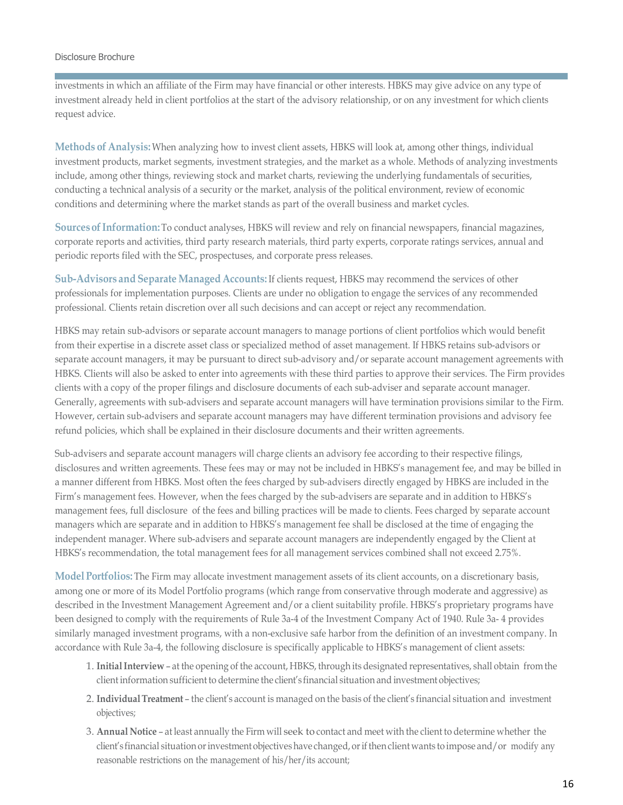investments in which an affiliate of the Firm may have financial or other interests. HBKS may give advice on any type of investment already held in client portfolios at the start of the advisory relationship, or on any investment for which clients request advice.

**Methods of Analysis:**When analyzing how to invest client assets, HBKS will look at, among other things, individual investment products, market segments, investment strategies, and the market as a whole. Methods of analyzing investments include, among other things, reviewing stock and market charts, reviewing the underlying fundamentals of securities, conducting a technical analysis of a security or the market, analysis of the political environment, review of economic conditions and determining where the market stands as part of the overall business and market cycles.

**SourcesofInformation:**To conduct analyses, HBKS will review and rely on financial newspapers, financial magazines, corporate reports and activities, third party research materials, third party experts, corporate ratings services, annual and periodic reports filed with the SEC, prospectuses, and corporate press releases.

**Sub-Advisors and Separate Managed Accounts:** If clients request, HBKS may recommend the services of other professionals for implementation purposes. Clients are under no obligation to engage the services of any recommended professional. Clients retain discretion over all such decisions and can accept or reject any recommendation.

HBKS may retain sub-advisors or separate account managers to manage portions of client portfolios which would benefit from their expertise in a discrete asset class or specialized method of asset management. If HBKS retains sub-advisors or separate account managers, it may be pursuant to direct sub-advisory and/or separate account management agreements with HBKS. Clients will also be asked to enter into agreements with these third parties to approve their services. The Firm provides clients with a copy of the proper filings and disclosure documents of each sub-adviser and separate account manager. Generally, agreements with sub-advisers and separate account managers will have termination provisions similar to the Firm. However, certain sub-advisers and separate account managers may have different termination provisions and advisory fee refund policies, which shall be explained in their disclosure documents and their written agreements.

Sub-advisers and separate account managers will charge clients an advisory fee according to their respective filings, disclosures and written agreements. These fees may or may not be included in HBKS's management fee, and may be billed in a manner different from HBKS. Most often the fees charged by sub-advisers directly engaged by HBKS are included in the Firm's management fees. However, when the fees charged by the sub-advisers are separate and in addition to HBKS's management fees, full disclosure of the fees and billing practices will be made to clients. Fees charged by separate account managers which are separate and in addition to HBKS's management fee shall be disclosed at the time of engaging the independent manager. Where sub-advisers and separate account managers are independently engaged by the Client at HBKS's recommendation, the total management fees for all management services combined shall not exceed 2.75%.

**Model Portfolios:** The Firm may allocate investment management assets of its client accounts, on a discretionary basis, among one or more of its Model Portfolio programs (which range from conservative through moderate and aggressive) as described in the Investment Management Agreement and/or a client suitability profile. HBKS's proprietary programs have been designed to comply with the requirements of Rule 3a-4 of the Investment Company Act of 1940. Rule 3a- 4 provides similarly managed investment programs, with a non-exclusive safe harbor from the definition of an investment company. In accordance with Rule 3a-4, the following disclosure is specifically applicable to HBKS's management of client assets:

- 1. **InitialInterview** at the opening of the account, HBKS, through its designated representatives, shall obtain from the client information sufficient to determine the client's financial situation and investment objectives;
- 2. **IndividualTreatment** the client's account is managed on the basis of the client's financial situation and investment objectives;
- 3. **Annual Notice** at least annually the Firm will seek to contact and meet with the client to determine whether the client's financial situation or investment objectives have changed, or if then client wants to impose and/or modify any reasonable restrictions on the management of his/her/its account;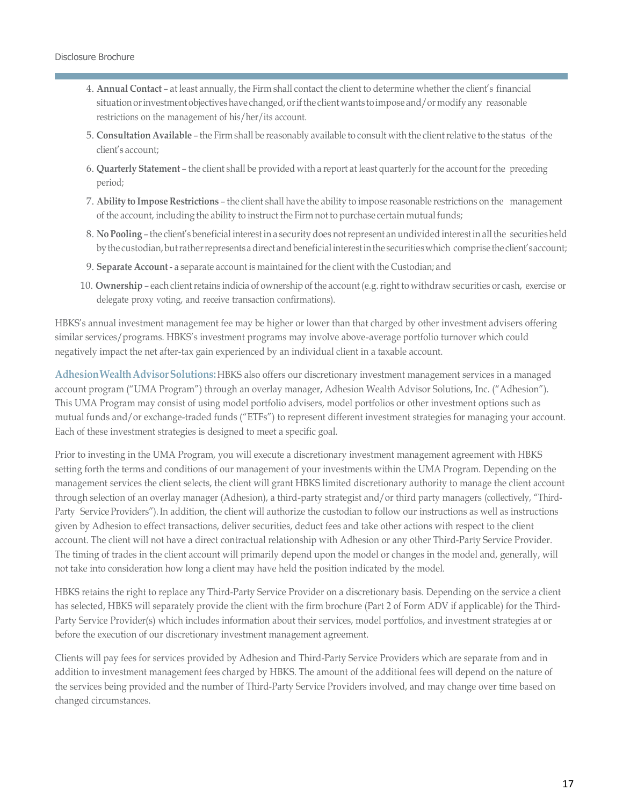- 4. **Annual Contact** at least annually, the Firm shall contact the client to determine whether the client's financial situation or investment objectives have changed, or if the client wants to impose and/or modify any reasonable restrictions on the management of his/her/its account.
- 5. **Consultation Available** the Firm shall be reasonably available to consult with the clientrelative to the status of the client's account;
- 6. **Quarterly Statement** the client shall be provided with a report at least quarterly for the account forthe preceding period;
- 7. **Ability to Impose Restrictions** the client shall have the ability to impose reasonable restrictions on the management of the account, including the ability to instruct the Firm not to purchase certain mutual funds;
- 8. **NoPooling** the client's beneficial interestin a security does notrepresent an undivided interestin allthe securitiesheld by the custodian, but rather represents a direct and beneficial interest in the securities which comprise the client's account;
- 9. **Separate Account** a separate account is maintained forthe client with the Custodian; and
- 10. Ownership each client retains indicia of ownership of the account (e.g. right to withdraw securities or cash, exercise or delegate proxy voting, and receive transaction confirmations).

HBKS's annual investment management fee may be higher or lower than that charged by other investment advisers offering similar services/programs. HBKS's investment programs may involve above-average portfolio turnover which could negatively impact the net after-tax gain experienced by an individual client in a taxable account.

**AdhesionWealthAdvisorSolutions:**HBKS also offers our discretionary investment management services in a managed account program ("UMA Program") through an overlay manager, Adhesion Wealth Advisor Solutions, Inc. ("Adhesion"). This UMA Program may consist of using model portfolio advisers, model portfolios or other investment options such as mutual funds and/or exchange-traded funds ("ETFs") to represent different investment strategies for managing your account. Each of these investment strategies is designed to meet a specific goal.

Prior to investing in the UMA Program, you will execute a discretionary investment management agreement with HBKS setting forth the terms and conditions of our management of your investments within the UMA Program. Depending on the management services the client selects, the client will grant HBKS limited discretionary authority to manage the client account through selection of an overlay manager (Adhesion), a third-party strategist and/or third party managers (collectively, "Third-Party Service Providers").In addition, the client will authorize the custodian to follow our instructions as well as instructions given by Adhesion to effect transactions, deliver securities, deduct fees and take other actions with respect to the client account. The client will not have a direct contractual relationship with Adhesion or any other Third-Party Service Provider. The timing of trades in the client account will primarily depend upon the model or changes in the model and, generally, will not take into consideration how long a client may have held the position indicated by the model.

HBKS retains the right to replace any Third-Party Service Provider on a discretionary basis. Depending on the service a client has selected, HBKS will separately provide the client with the firm brochure (Part 2 of Form ADV if applicable) for the Third-Party Service Provider(s) which includes information about their services, model portfolios, and investment strategies at or before the execution of our discretionary investment management agreement.

Clients will pay fees for services provided by Adhesion and Third-Party Service Providers which are separate from and in addition to investment management fees charged by HBKS. The amount of the additional fees will depend on the nature of the services being provided and the number of Third-Party Service Providers involved, and may change over time based on changed circumstances.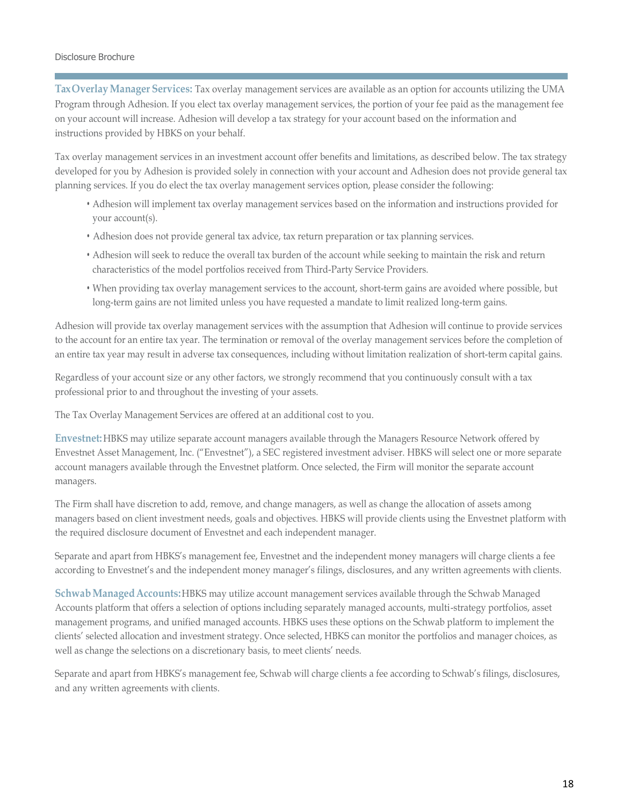<span id="page-17-0"></span>**TaxOverlayManager Services:** Tax overlay management services are available as an option for accounts utilizing the UMA Program through Adhesion. If you elect tax overlay management services, the portion of your fee paid as the management fee on your account will increase. Adhesion will develop a tax strategy for your account based on the information and instructions provided by HBKS on your behalf.

Tax overlay management services in an investment account offer benefits and limitations, as described below. The tax strategy developed for you by Adhesion is provided solely in connection with your account and Adhesion does not provide general tax planning services. If you do elect the tax overlay management services option, please consider the following:

- Adhesion will implement tax overlay management services based on the information and instructions provided for your account(s).
- Adhesion does not provide general tax advice, tax return preparation or tax planning services.
- Adhesion will seek to reduce the overall tax burden of the account while seeking to maintain the risk and return characteristics of the model portfolios received from Third-Party Service Providers.
- When providing tax overlay management services to the account, short-term gains are avoided where possible, but long-term gains are not limited unless you have requested a mandate to limit realized long-term gains.

Adhesion will provide tax overlay management services with the assumption that Adhesion will continue to provide services to the account for an entire tax year. The termination or removal of the overlay management services before the completion of an entire tax year may result in adverse tax consequences, including without limitation realization of short-term capital gains.

Regardless of your account size or any other factors, we strongly recommend that you continuously consult with a tax professional prior to and throughout the investing of your assets.

The Tax Overlay Management Services are offered at an additional cost to you.

**Envestnet:**HBKS may utilize separate account managers available through the Managers Resource Network offered by Envestnet Asset Management, Inc. ("Envestnet"), a SEC registered investment adviser. HBKS will select one or more separate account managers available through the Envestnet platform. Once selected, the Firm will monitor the separate account managers.

The Firm shall have discretion to add, remove, and change managers, as well as change the allocation of assets among managers based on client investment needs, goals and objectives. HBKS will provide clients using the Envestnet platform with the required disclosure document of Envestnet and each independent manager.

Separate and apart from HBKS's management fee, Envestnet and the independent money managers will charge clients a fee according to Envestnet's and the independent money manager's filings, disclosures, and any written agreements with clients.

**SchwabManagedAccounts:**HBKS may utilize account management services available through the Schwab Managed Accounts platform that offers a selection of options including separately managed accounts, multi-strategy portfolios, asset management programs, and unified managed accounts. HBKS uses these options on the Schwab platform to implement the clients' selected allocation and investment strategy. Once selected, HBKS can monitor the portfolios and manager choices, as well as change the selections on a discretionary basis, to meet clients' needs.

Separate and apart from HBKS's management fee, Schwab will charge clients a fee according to Schwab's filings, disclosures, and any written agreements with clients.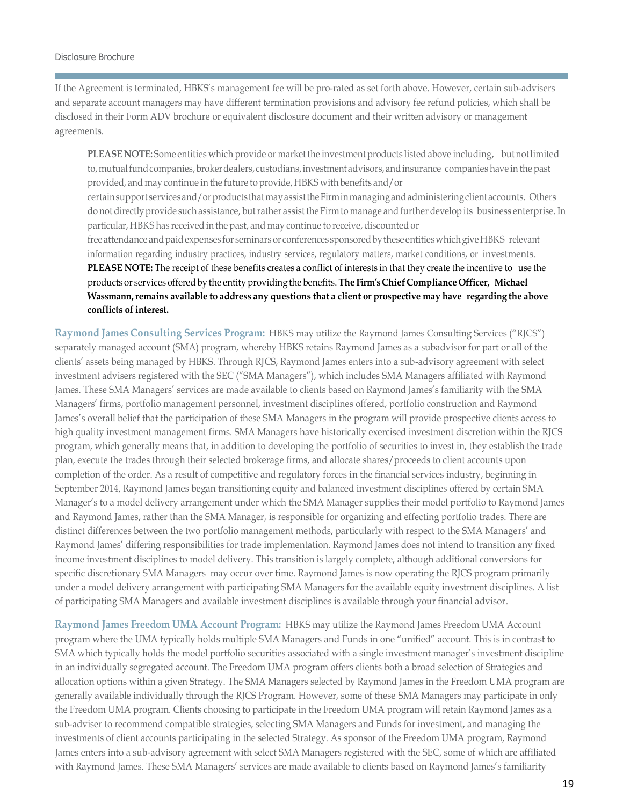If the Agreement is terminated, HBKS's management fee will be pro-rated as set forth above. However, certain sub-advisers and separate account managers may have different termination provisions and advisory fee refund policies, which shall be disclosed in their Form ADV brochure or equivalent disclosure document and their written advisory or management agreements.

**PLEASE NOTE:** Some entities which provide or marketthe investment products listed above including, butnotlimited to, mutual fund companies, broker dealers, custodians, investment advisors, and insurance companies have in the past provided, and may continue in the future to provide, HBKS with benefits and/or

certain support services and/or products that may assist the Firm in managing and administering client accounts. Others do not directly provide such assistance, but rather assist the Firm to manage and further develop its business enterprise. In particular, HBKS has received in the past, and may continue to receive, discounted or

free attendance and paid expenses for seminars or conferences sponsored by these entities which give HBKS relevant information regarding industry practices, industry services, regulatory matters, market conditions, or investments. **PLEASE NOTE:** The receipt of these benefits creates a conflict of interests in that they create the incentive to use the products or services offeredby the entity providing the benefits. **The Firm'sChief Compliance Officer, Michael Wassmann,remains available to address any questions that a client or prospective may have regarding the above conflicts of interest.**

**Raymond James Consulting Services Program:** HBKS may utilize the Raymond James Consulting Services ("RJCS") separately managed account (SMA) program, whereby HBKS retains Raymond James as a subadvisor for part or all of the clients' assets being managed by HBKS. Through RJCS, Raymond James enters into a sub-advisory agreement with select investment advisers registered with the SEC ("SMA Managers"), which includes SMA Managers affiliated with Raymond James. These SMA Managers' services are made available to clients based on Raymond James's familiarity with the SMA Managers' firms, portfolio management personnel, investment disciplines offered, portfolio construction and Raymond James's overall belief that the participation of these SMA Managers in the program will provide prospective clients access to high quality investment management firms. SMA Managers have historically exercised investment discretion within the RJCS program, which generally means that, in addition to developing the portfolio of securities to invest in, they establish the trade plan, execute the trades through their selected brokerage firms, and allocate shares/proceeds to client accounts upon completion of the order. As a result of competitive and regulatory forces in the financial services industry, beginning in September 2014, Raymond James began transitioning equity and balanced investment disciplines offered by certain SMA Manager's to a model delivery arrangement under which the SMA Manager supplies their model portfolio to Raymond James and Raymond James, rather than the SMA Manager, is responsible for organizing and effecting portfolio trades. There are distinct differences between the two portfolio management methods, particularly with respect to the SMA Managers' and Raymond James' differing responsibilities for trade implementation. Raymond James does not intend to transition any fixed income investment disciplines to model delivery. This transition is largely complete, although additional conversions for specific discretionary SMA Managers may occur over time. Raymond James is now operating the RJCS program primarily under a model delivery arrangement with participating SMA Managers for the available equity investment disciplines. A list of participating SMA Managers and available investment disciplines is available through your financial advisor.

**Raymond James Freedom UMA Account Program:** HBKS may utilize the Raymond James Freedom UMA Account program where the UMA typically holds multiple SMA Managers and Funds in one "unified" account. This is in contrast to SMA which typically holds the model portfolio securities associated with a single investment manager's investment discipline in an individually segregated account. The Freedom UMA program offers clients both a broad selection of Strategies and allocation options within a given Strategy. The SMA Managers selected by Raymond James in the Freedom UMA program are generally available individually through the RJCS Program. However, some of these SMA Managers may participate in only the Freedom UMA program. Clients choosing to participate in the Freedom UMA program will retain Raymond James as a sub-adviser to recommend compatible strategies, selecting SMA Managers and Funds for investment, and managing the investments of client accounts participating in the selected Strategy. As sponsor of the Freedom UMA program, Raymond James enters into a sub-advisory agreement with select SMA Managers registered with the SEC, some of which are affiliated with Raymond James. These SMA Managers' services are made available to clients based on Raymond James's familiarity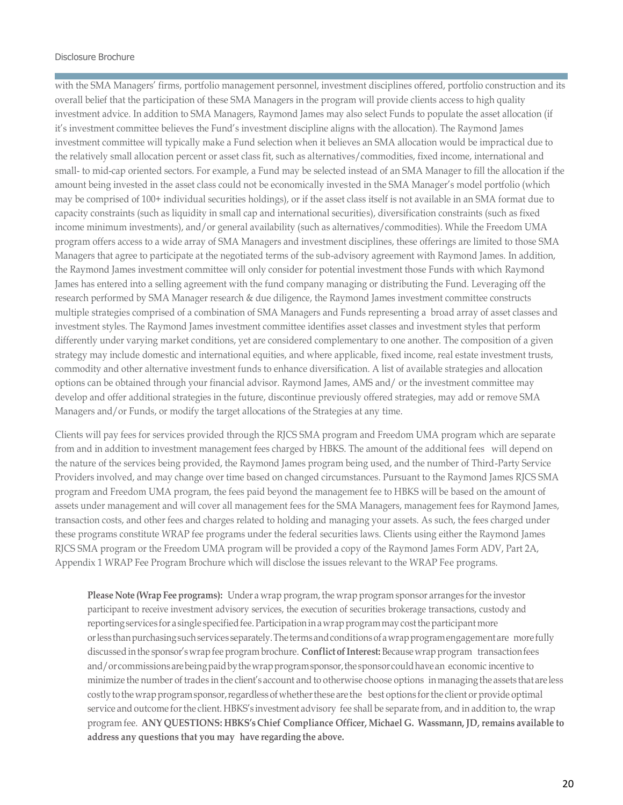with the SMA Managers' firms, portfolio management personnel, investment disciplines offered, portfolio construction and its overall belief that the participation of these SMA Managers in the program will provide clients access to high quality investment advice. In addition to SMA Managers, Raymond James may also select Funds to populate the asset allocation (if it's investment committee believes the Fund's investment discipline aligns with the allocation). The Raymond James investment committee will typically make a Fund selection when it believes an SMA allocation would be impractical due to the relatively small allocation percent or asset class fit, such as alternatives/commodities, fixed income, international and small- to mid-cap oriented sectors. For example, a Fund may be selected instead of an SMA Manager to fill the allocation if the amount being invested in the asset class could not be economically invested in the SMA Manager's model portfolio (which may be comprised of 100+ individual securities holdings), or if the asset class itself is not available in an SMA format due to capacity constraints (such as liquidity in small cap and international securities), diversification constraints (such as fixed income minimum investments), and/or general availability (such as alternatives/commodities). While the Freedom UMA program offers access to a wide array of SMA Managers and investment disciplines, these offerings are limited to those SMA Managers that agree to participate at the negotiated terms of the sub-advisory agreement with Raymond James. In addition, the Raymond James investment committee will only consider for potential investment those Funds with which Raymond James has entered into a selling agreement with the fund company managing or distributing the Fund. Leveraging off the research performed by SMA Manager research & due diligence, the Raymond James investment committee constructs multiple strategies comprised of a combination of SMA Managers and Funds representing a broad array of asset classes and investment styles. The Raymond James investment committee identifies asset classes and investment styles that perform differently under varying market conditions, yet are considered complementary to one another. The composition of a given strategy may include domestic and international equities, and where applicable, fixed income, real estate investment trusts, commodity and other alternative investment funds to enhance diversification. A list of available strategies and allocation options can be obtained through your financial advisor. Raymond James, AMS and/ or the investment committee may develop and offer additional strategies in the future, discontinue previously offered strategies, may add or remove SMA Managers and/or Funds, or modify the target allocations of the Strategies at any time.

Clients will pay fees for services provided through the RJCS SMA program and Freedom UMA program which are separate from and in addition to investment management fees charged by HBKS. The amount of the additional fees will depend on the nature of the services being provided, the Raymond James program being used, and the number of Third-Party Service Providers involved, and may change over time based on changed circumstances. Pursuant to the Raymond James RJCS SMA program and Freedom UMA program, the fees paid beyond the management fee to HBKS will be based on the amount of assets under management and will cover all management fees for the SMA Managers, management fees for Raymond James, transaction costs, and other fees and charges related to holding and managing your assets. As such, the fees charged under these programs constitute WRAP fee programs under the federal securities laws. Clients using either the Raymond James RJCS SMA program or the Freedom UMA program will be provided a copy of the Raymond James Form ADV, Part 2A, Appendix 1 WRAP Fee Program Brochure which will disclose the issues relevant to the WRAP Fee programs.

**Please Note (Wrap Feeprograms):** Under a wrap program, the wrap program sponsor arranges forthe investor participant to receive investment advisory services, the execution of securities brokerage transactions, custody and reporting services for a single specified fee. Participation in a wrap program may cost the participant more orlessthanpurchasingsuchservices separately.Thetermsandconditionsofawrapprogramengagement are more fully discussed in the sponsor's wrap fee program brochure. **Conflict of Interest:** Because wrap program transaction fees and/orcommissionsarebeingpaidbythewrapprogramsponsor,the sponsorcouldhavean economic incentive to minimize the number of trades in the client's account and to otherwise choose options inmanaging the assets that are less costly to the wrap program sponsor, regardless of whether these are the best options for the client or provide optimal service and outcome forthe client. HBKS's investment advisory fee shall be separate from, and in addition to, the wrap program fee. **ANY QUESTIONS: HBKS's Chief Compliance Officer, Michael G. Wassmann, JD, remains available to address any questions that you may have regarding the above.**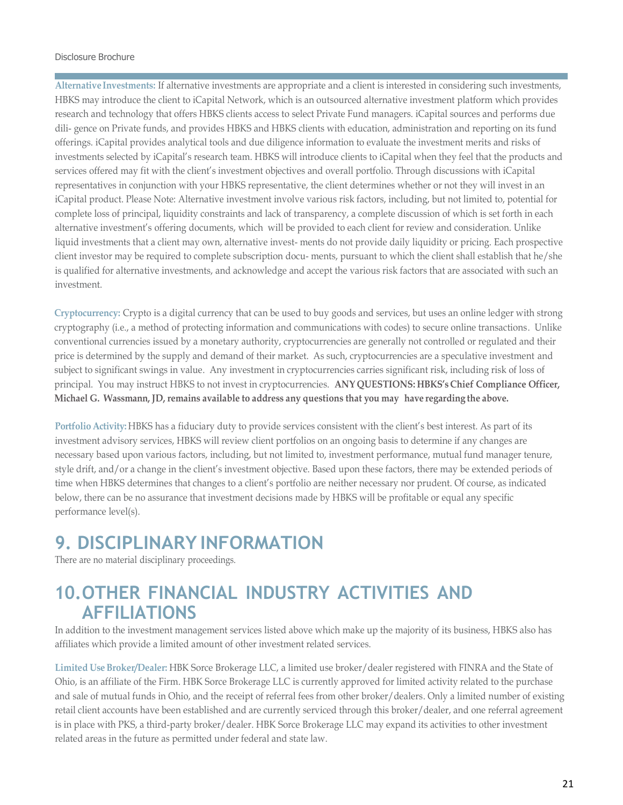**Alternative Investments:** If alternative investments are appropriate and a client is interested in considering such investments, HBKS may introduce the client to iCapital Network, which is an outsourced alternative investment platform which provides research and technology that offers HBKS clients access to select Private Fund managers. iCapital sources and performs due dili- gence on Private funds, and provides HBKS and HBKS clients with education, administration and reporting on its fund offerings. iCapital provides analytical tools and due diligence information to evaluate the investment merits and risks of investments selected by iCapital's research team. HBKS will introduce clients to iCapital when they feel that the products and services offered may fit with the client's investment objectives and overall portfolio. Through discussions with iCapital representatives in conjunction with your HBKS representative, the client determines whether or not they will invest in an iCapital product. Please Note: Alternative investment involve various risk factors, including, but not limited to, potential for complete loss of principal, liquidity constraints and lack of transparency, a complete discussion of which is set forth in each alternative investment's offering documents, which will be provided to each client for review and consideration. Unlike liquid investments that a client may own, alternative invest- ments do not provide daily liquidity or pricing. Each prospective client investor may be required to complete subscription docu- ments, pursuant to which the client shall establish that he/she is qualified for alternative investments, and acknowledge and accept the various risk factors that are associated with such an investment.

**Cryptocurrency:** Crypto is a digital currency that can be used to buy goods and services, but uses an online ledger with strong cryptography (i.e., a method of protecting information and communications with codes) to secure online transactions. Unlike conventional currencies issued by a monetary authority, cryptocurrencies are generally not controlled or regulated and their price is determined by the supply and demand of their market. As such, cryptocurrencies are a speculative investment and subject to significant swings in value. Any investment in cryptocurrencies carries significant risk, including risk of loss of principal. You may instruct HBKS to not invest in cryptocurrencies. **ANY QUESTIONS: HBKS's Chief Compliance Officer, Michael G. Wassmann, JD, remains available to address any questions that you may have regarding the above.**

**Portfolio Activity:** HBKS has a fiduciary duty to provide services consistent with the client's best interest. As part of its investment advisory services, HBKS will review client portfolios on an ongoing basis to determine if any changes are necessary based upon various factors, including, but not limited to, investment performance, mutual fund manager tenure, style drift, and/or a change in the client's investment objective. Based upon these factors, there may be extended periods of time when HBKS determines that changes to a client's portfolio are neither necessary nor prudent. Of course, as indicated below, there can be no assurance that investment decisions made by HBKS will be profitable or equal any specific performance level(s).

### <span id="page-20-0"></span>**9. DISCIPLINARY INFORMATION**

There are no material disciplinary proceedings.

### <span id="page-20-1"></span>**10.OTHER FINANCIAL INDUSTRY ACTIVITIES AND AFFILIATIONS**

In addition to the investment management services listed above which make up the majority of its business, HBKS also has affiliates which provide a limited amount of other investment related services.

**Limited Use Broker/Dealer:** HBK Sorce Brokerage LLC, a limited use broker/dealer registered with FINRA and the State of Ohio, is an affiliate of the Firm. HBK Sorce Brokerage LLC is currently approved for limited activity related to the purchase and sale of mutual funds in Ohio, and the receipt of referral fees from other broker/dealers. Only a limited number of existing retail client accounts have been established and are currently serviced through this broker/dealer, and one referral agreement is in place with PKS, a third-party broker/dealer. HBK Sorce Brokerage LLC may expand its activities to other investment related areas in the future as permitted under federal and state law.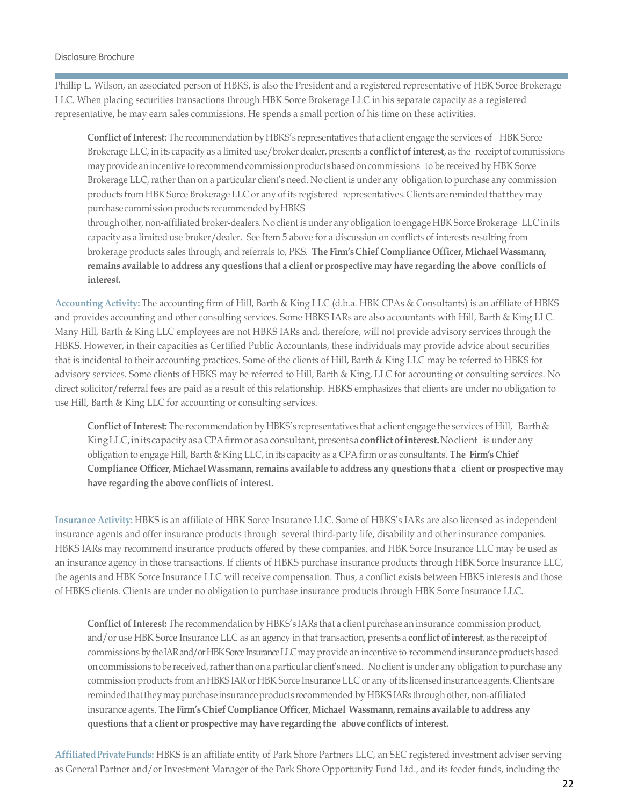Phillip L. Wilson, an associated person of HBKS, is also the President and a registered representative of HBK Sorce Brokerage LLC. When placing securities transactions through HBK Sorce Brokerage LLC in his separate capacity as a registered representative, he may earn sales commissions. He spends a small portion of his time on these activities.

**Conflict of Interest:** The recommendation by HBKS's representatives that a client engage the services of HBK Sorce Brokerage LLC, in its capacity as a limited use/broker dealer, presents a **conflict ofinterest**, as the receipt of commissions may provide an incentive to recommend commission products based on commissions to be received by HBK Sorce Brokerage LLC, rather than on a particular client's need. No client is under any obligation to purchase any commission products from HBK Sorce Brokerage LLC or any of its registered representatives.Clients are remindedthattheymay purchase commission products recommended by HBKS

through other, non-affiliated broker-dealers. No client is under any obligation to engage HBK Sorce Brokerage LLC in its capacity as a limited use broker/dealer. See Item 5 above for a discussion on conflicts of interests resulting from brokerage products sales through, and referrals to, PKS. **The Firm'sChief Compliance Officer, MichaelWassmann,** remains available to address any questions that a client or prospective may have regarding the above conflicts of **interest.**

**Accounting Activity:** The accounting firm of Hill, Barth & King LLC (d.b.a. HBK CPAs & Consultants) is an affiliate of HBKS and provides accounting and other consulting services. Some HBKS IARs are also accountants with Hill, Barth & King LLC. Many Hill, Barth & King LLC employees are not HBKS IARs and, therefore, will not provide advisory services through the HBKS. However, in their capacities as Certified Public Accountants, these individuals may provide advice about securities that is incidental to their accounting practices. Some of the clients of Hill, Barth & King LLC may be referred to HBKS for advisory services. Some clients of HBKS may be referred to Hill, Barth & King, LLC for accounting or consulting services. No direct solicitor/referral fees are paid as a result of this relationship. HBKS emphasizes that clients are under no obligation to use Hill, Barth & King LLC for accounting or consulting services.

**Conflict of Interest:** The recommendation by HBKS's representatives that a client engage the services of Hill, Barth& King LLC, in its capacity as a CPA firm or as a consultant, presents a **conflict of interest**. No client is under any obligation to engage Hill, Barth & King LLC, in its capacity as a CPA firm or as consultants. **The Firm's Chief Compliance Officer, Michael Wassmann,remains available to address any questions that a client or prospective may have regarding the above conflicts of interest.**

**Insurance Activity:** HBKS is an affiliate of HBK Sorce Insurance LLC. Some of HBKS's IARs are also licensed as independent insurance agents and offer insurance products through several third-party life, disability and other insurance companies. HBKS IARs may recommend insurance products offered by these companies, and HBK Sorce Insurance LLC may be used as an insurance agency in those transactions. If clients of HBKS purchase insurance products through HBK Sorce Insurance LLC, the agents and HBK Sorce Insurance LLC will receive compensation. Thus, a conflict exists between HBKS interests and those of HBKS clients. Clients are under no obligation to purchase insurance products through HBK Sorce Insurance LLC.

**Conflict of Interest:** The recommendation by HBKS's IARs that a client purchase an insurance commission product, and/or use HBK Sorce Insurance LLC as an agency in that transaction, presents a **conflict ofinterest**, as the receipt of commissions by the IAR and/or HBK Sorce Insurance LLC may provide an incentive to recommend insurance products based on commissions to be received, rather than on a particular client's need. No client is under any obligation to purchase any commission products from an HBKS IAR or HBK Sorce Insurance LLC or any of its licensed insurance agents. Clients are reminded that they may purchase insurance products recommended by HBKS IARs through other, non-affiliated insurance agents. **The Firm's Chief Compliance Officer, Michael Wassmann,remains available to address any questions that a client or prospective may have regarding the above conflicts ofinterest.**

**AffiliatedPrivateFunds:** HBKS is an affiliate entity of Park Shore Partners LLC, an SEC registered investment adviser serving as General Partner and/or Investment Manager of the Park Shore Opportunity Fund Ltd., and its feeder funds, including the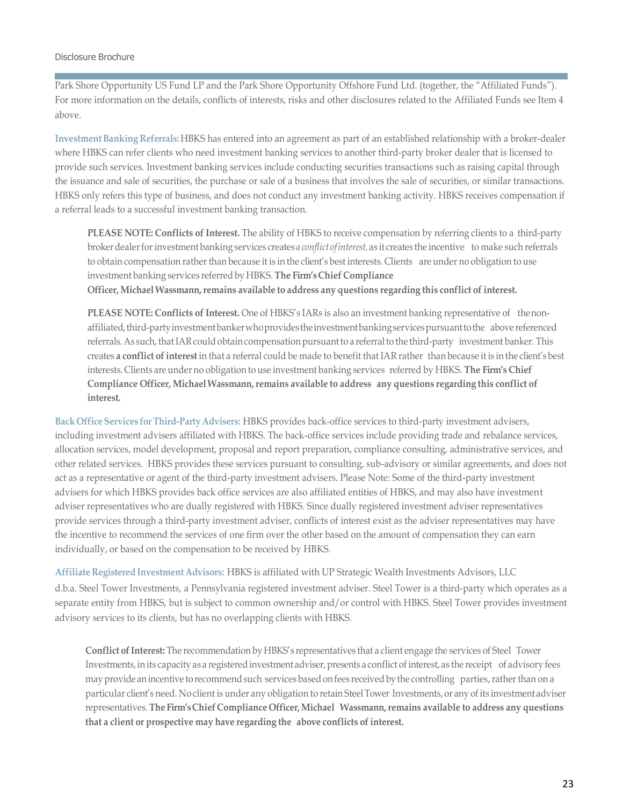Park Shore Opportunity US Fund LP and the Park Shore Opportunity Offshore Fund Ltd. (together, the "Affiliated Funds"). For more information on the details, conflicts of interests, risks and other disclosures related to the Affiliated Funds see Item 4 above.

**InvestmentBanking Referrals:** HBKS has entered into an agreement as part of an established relationship with a broker-dealer where HBKS can refer clients who need investment banking services to another third-party broker dealer that is licensed to provide such services. Investment banking services include conducting securities transactions such as raising capital through the issuance and sale of securities, the purchase or sale of a business that involves the sale of securities, or similar transactions. HBKS only refers this type of business, and does not conduct any investment banking activity. HBKS receives compensation if a referral leads to a successful investment banking transaction.

**PLEASE NOTE: Conflicts of Interest.** The ability of HBKS to receive compensation by referring clients to a third-party brokerdealerforinvestment banking services creates *a conflict of interest,* as it creates the incentive to make such referrals to obtain compensation rather than because it is in the client's best interests. Clients are under no obligation to use investment banking services referred by HBKS. **The Firm'sChief Compliance Officer, MichaelWassmann,remains available to address any questions regarding this conflict of interest.**

**PLEASE NOTE: Conflicts of Interest.** One of HBKS's IARs is also an investment banking representative of thenonaffiliated,third-partyinvestmentbankerwhoprovidestheinvestmentbankingservicespursuanttothe above referenced referrals. As such, that IAR could obtain compensation pursuant to a referral to the third-party investment banker. This creates **a conflict ofinterest** in that a referral could be made to benefit that IAR rather than because it is in the client's best interests. Clients are under no obligation to use investment banking services referred by HBKS. **The Firm's Chief Compliance Officer, MichaelWassmann,remains available to address any questions regarding this conflict of interest.**

**Back OfficeServices forThird-PartyAdvisers:** HBKS provides back-office services to third-party investment advisers, including investment advisers affiliated with HBKS. The back-office services include providing trade and rebalance services, allocation services, model development, proposal and report preparation, compliance consulting, administrative services, and other related services. HBKS provides these services pursuant to consulting, sub-advisory or similar agreements, and does not act as a representative or agent of the third-party investment advisers. Please Note: Some of the third-party investment advisers for which HBKS provides back office services are also affiliated entities of HBKS, and may also have investment adviser representatives who are dually registered with HBKS. Since dually registered investment adviser representatives provide services through a third-party investment adviser, conflicts of interest exist as the adviser representatives may have the incentive to recommend the services of one firm over the other based on the amount of compensation they can earn individually, or based on the compensation to be received by HBKS.

**Affiliate Registered InvestmentAdvisors:** HBKS is affiliated with UP Strategic Wealth Investments Advisors, LLC d.b.a. Steel Tower Investments, a Pennsylvania registered investment adviser. Steel Tower is a third-party which operates as a separate entity from HBKS, but is subject to common ownership and/or control with HBKS. Steel Tower provides investment advisory services to its clients, but has no overlapping clients with HBKS.

**Conflict of Interest:** The recommendation by HBKS's representatives that a client engage the services of Steel Tower Investments, in its capacity as a registeredinvestment adviser, presents a conflict of interest, as the receipt of advisory fees may provide an incentive to recommend such services based on fees received by the controlling parties, rather than on a particular client's need. No client is under any obligation to retain SteelTower Investments, or any ofits investment adviser representatives.**The Firm'sChief Compliance Officer,Michael Wassmann,remains available to address any questions that a client or prospective may have regarding the above conflicts ofinterest.**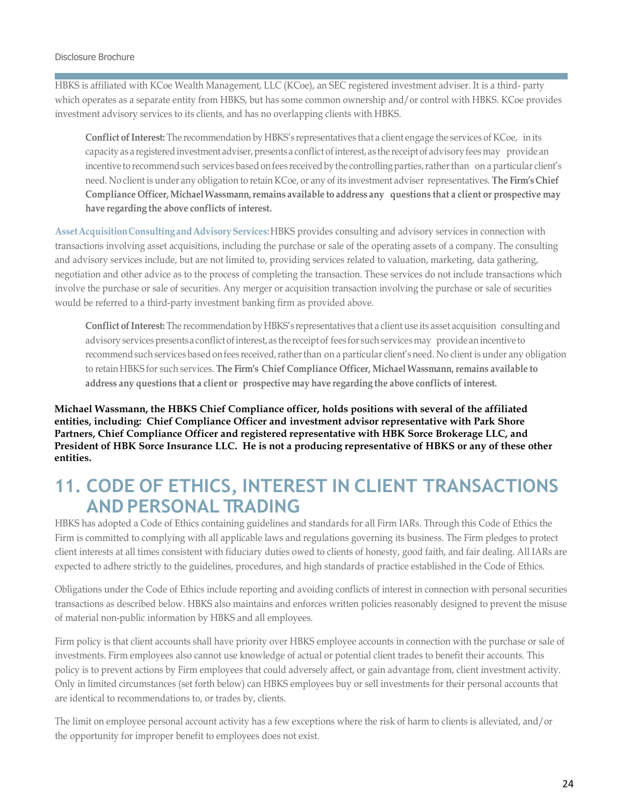HBKS is affiliated with KCoe Wealth Management, LLC (KCoe), an SEC registered investment adviser. It is a third- party which operates as a separate entity from HBKS, but has some common ownership and/or control with HBKS. KCoe provides investment advisory services to its clients, and has no overlapping clients with HBKS.

**Conflict of Interest:** The recommendation by HBKS's representatives that a client engage the services of KCoe, in its capacity as a registered investment adviser, presents a conflict of interest, as the receipt of advisory fees may provide an incentive to recommend such services based on fees received by the controlling parties, rather than on a particular client's need. No client is under any obligation to retain KCoe, or any of its investment adviser representatives. **The Firm's Chief Compliance Officer, MichaelWassmann,remains available to address any questions that a client or prospective may have regarding the above conflicts of interest.**

**AssetAcquisitionConsultingandAdvisoryServices:**HBKS provides consulting and advisory services in connection with transactions involving asset acquisitions, including the purchase or sale of the operating assets of a company. The consulting and advisory services include, but are not limited to, providing services related to valuation, marketing, data gathering, negotiation and other advice as to the process of completing the transaction. These services do not include transactions which involve the purchase or sale of securities. Any merger or acquisition transaction involving the purchase or sale of securities would be referred to a third-party investment banking firm as provided above.

**Conflict of Interest:** The recommendation by HBKS's representatives that a client use its asset acquisition consulting and advisory services presents a conflict of interest, as the receipt of fees for such services may provide an incentive to recommend such services based on fees received, rather than on a particular client's need. No client is under any obligation to retain HBKS for such services. **The Firm's Chief Compliance Officer, Michael Wassmann, remains available to address any questions that a client or prospective may have regarding the above conflicts of interest.**

**Michael Wassmann, the HBKS Chief Compliance officer, holds positions with several of the affiliated entities, including: Chief Compliance Officer and investment advisor representative with Park Shore Partners, Chief Compliance Officer and registered representative with HBK Sorce Brokerage LLC, and President of HBK Sorce Insurance LLC. He is not a producing representative of HBKS or any of these other entities.**

### <span id="page-23-0"></span>**11. CODE OF ETHICS, INTEREST IN CLIENT TRANSACTIONS AND PERSONAL TRADING**

HBKS has adopted a Code of Ethics containing guidelines and standards for all Firm IARs. Through this Code of Ethics the Firm is committed to complying with all applicable laws and regulations governing its business. The Firm pledges to protect client interests at all times consistent with fiduciary duties owed to clients of honesty, good faith, and fair dealing. All IARs are expected to adhere strictly to the guidelines, procedures, and high standards of practice established in the Code of Ethics.

Obligations under the Code of Ethics include reporting and avoiding conflicts of interest in connection with personal securities transactions as described below. HBKS also maintains and enforces written policies reasonably designed to prevent the misuse of material non-public information by HBKS and all employees.

Firm policy is that client accounts shall have priority over HBKS employee accounts in connection with the purchase or sale of investments. Firm employees also cannot use knowledge of actual or potential client trades to benefit their accounts. This policy is to prevent actions by Firm employees that could adversely affect, or gain advantage from, client investment activity. Only in limited circumstances (set forth below) can HBKS employees buy or sell investments for their personal accounts that are identical to recommendations to, or trades by, clients.

The limit on employee personal account activity has a few exceptions where the risk of harm to clients is alleviated, and/or the opportunity for improper benefit to employees does not exist.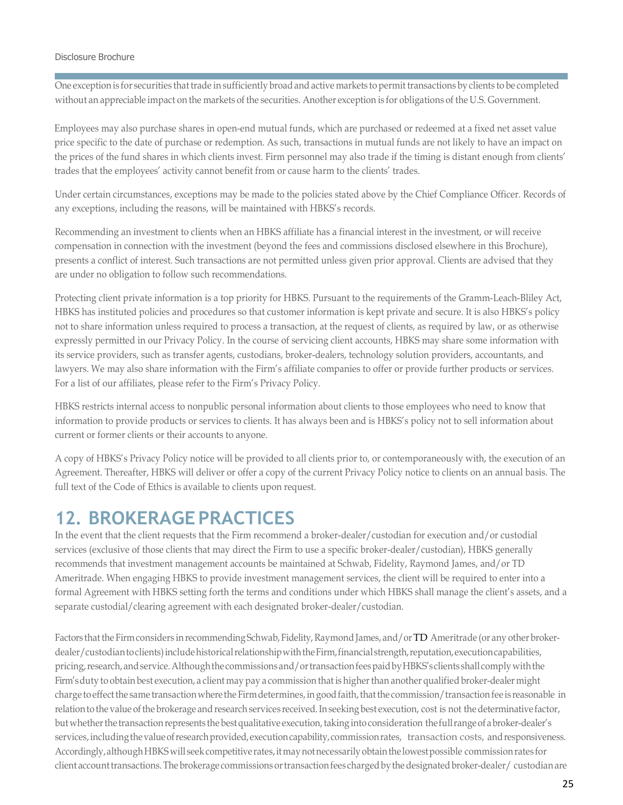One exception is for securities thattrade in sufficiently broadand active markets to permit transactions by clients to be completed without an appreciable impact on the markets of the securities. Another exception is for obligations of the U.S. Government.

Employees may also purchase shares in open-end mutual funds, which are purchased or redeemed at a fixed net asset value price specific to the date of purchase or redemption. As such, transactions in mutual funds are not likely to have an impact on the prices of the fund shares in which clients invest. Firm personnel may also trade if the timing is distant enough from clients' trades that the employees' activity cannot benefit from or cause harm to the clients' trades.

Under certain circumstances, exceptions may be made to the policies stated above by the Chief Compliance Officer. Records of any exceptions, including the reasons, will be maintained with HBKS's records.

Recommending an investment to clients when an HBKS affiliate has a financial interest in the investment, or will receive compensation in connection with the investment (beyond the fees and commissions disclosed elsewhere in this Brochure), presents a conflict of interest. Such transactions are not permitted unless given prior approval. Clients are advised that they are under no obligation to follow such recommendations.

Protecting client private information is a top priority for HBKS. Pursuant to the requirements of the Gramm-Leach-Bliley Act, HBKS has instituted policies and procedures so that customer information is kept private and secure. It is also HBKS's policy not to share information unless required to process a transaction, at the request of clients, as required by law, or as otherwise expressly permitted in our Privacy Policy. In the course of servicing client accounts, HBKS may share some information with its service providers, such as transfer agents, custodians, broker-dealers, technology solution providers, accountants, and lawyers. We may also share information with the Firm's affiliate companies to offer or provide further products or services. For a list of our affiliates, please refer to the Firm's Privacy Policy.

HBKS restricts internal access to nonpublic personal information about clients to those employees who need to know that information to provide products or services to clients. It has always been and is HBKS's policy not to sell information about current or former clients or their accounts to anyone.

A copy of HBKS's Privacy Policy notice will be provided to all clients prior to, or contemporaneously with, the execution of an Agreement. Thereafter, HBKS will deliver or offer a copy of the current Privacy Policy notice to clients on an annual basis. The full text of the Code of Ethics is available to clients upon request.

### <span id="page-24-0"></span>**12. BROKERAGE PRACTICES**

In the event that the client requests that the Firm recommend a broker-dealer/custodian for execution and/or custodial services (exclusive of those clients that may direct the Firm to use a specific broker-dealer/custodian), HBKS generally recommends that investment management accounts be maintained at Schwab, Fidelity, Raymond James, and/or TD Ameritrade. When engaging HBKS to provide investment management services, the client will be required to enter into a formal Agreement with HBKS setting forth the terms and conditions under which HBKS shall manage the client's assets, and a separate custodial/clearing agreement with each designated broker-dealer/custodian.

Factors that the Firm considers in recommending Schwab, Fidelity, Raymond James, and/or TD Ameritrade (or any other brokerdealer/custodiantoclients) include historical relationship with the Firm, financial strength, reputation, execution capabilities, pricing, research, and service. Although the commissions and/or transaction fees paid by HBKS's clients shall comply with the Firm's duty to obtain best execution, a client may pay a commission that is higher than another qualified broker-dealer might charge to effect the same transaction where the Firm determines, in good faith, that the commission/transaction fee is reasonable in relation to the value of the brokerage and research services received. In seeking best execution, cost is not the determinative factor, but whether the transaction represents the best qualitative execution, taking into consideration the full range of a broker-dealer's services, including the value of research provided, execution capability, commission rates, transaction costs, and responsiveness. Accordingly, although HBKS will seek competitive rates, it may not necessarily obtain the lowest possible commission rates for client account transactions. The brokerage commissions or transaction fees charged by the designated broker-dealer/ custodian are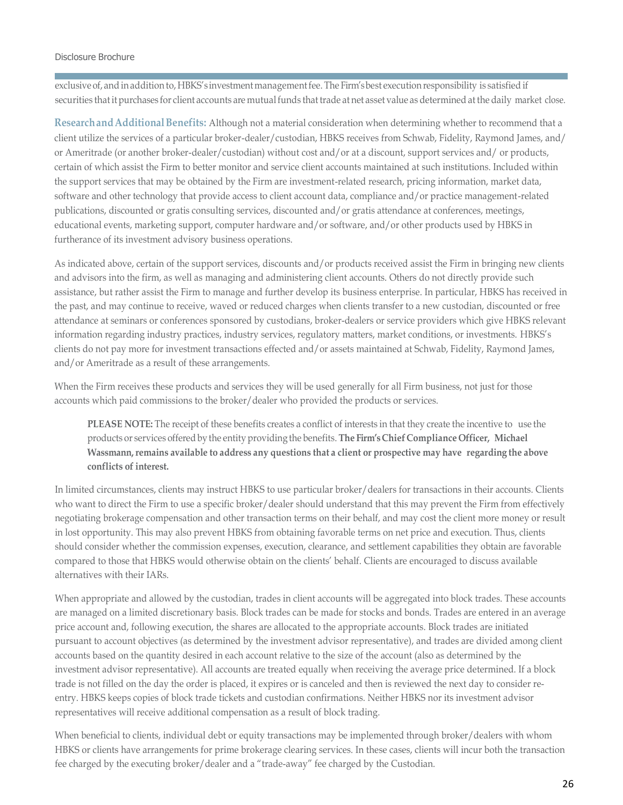exclusive of, and in addition to, HBKS's investment management fee. The Firm's best execution responsibility is satisfied if securities that it purchases for client accounts are mutual funds that trade at net asset value as determined at the daily market close.

**ResearchandAdditionalBenefits:** Although not a material consideration when determining whether to recommend that a client utilize the services of a particular broker-dealer/custodian, HBKS receives from Schwab, Fidelity, Raymond James, and/ or Ameritrade (or another broker-dealer/custodian) without cost and/or at a discount, support services and/ or products, certain of which assist the Firm to better monitor and service client accounts maintained at such institutions. Included within the support services that may be obtained by the Firm are investment-related research, pricing information, market data, software and other technology that provide access to client account data, compliance and/or practice management-related publications, discounted or gratis consulting services, discounted and/or gratis attendance at conferences, meetings, educational events, marketing support, computer hardware and/or software, and/or other products used by HBKS in furtherance of its investment advisory business operations.

As indicated above, certain of the support services, discounts and/or products received assist the Firm in bringing new clients and advisors into the firm, as well as managing and administering client accounts. Others do not directly provide such assistance, but rather assist the Firm to manage and further develop its business enterprise. In particular, HBKS has received in the past, and may continue to receive, waved or reduced charges when clients transfer to a new custodian, discounted or free attendance at seminars or conferences sponsored by custodians, broker-dealers or service providers which give HBKS relevant information regarding industry practices, industry services, regulatory matters, market conditions, or investments. HBKS's clients do not pay more for investment transactions effected and/or assets maintained at Schwab, Fidelity, Raymond James, and/or Ameritrade as a result of these arrangements.

When the Firm receives these products and services they will be used generally for all Firm business, not just for those accounts which paid commissions to the broker/dealer who provided the products or services.

**PLEASE NOTE:** The receipt of these benefits creates a conflict of interests in that they create the incentive to use the products or services offeredby the entity providing the benefits. **The Firm'sChief Compliance Officer, Michael Wassmann,remains available to address any questions that a client or prospective may have regarding the above conflicts of interest.**

In limited circumstances, clients may instruct HBKS to use particular broker/dealers for transactions in their accounts. Clients who want to direct the Firm to use a specific broker/dealer should understand that this may prevent the Firm from effectively negotiating brokerage compensation and other transaction terms on their behalf, and may cost the client more money or result in lost opportunity. This may also prevent HBKS from obtaining favorable terms on net price and execution. Thus, clients should consider whether the commission expenses, execution, clearance, and settlement capabilities they obtain are favorable compared to those that HBKS would otherwise obtain on the clients' behalf. Clients are encouraged to discuss available alternatives with their IARs.

When appropriate and allowed by the custodian, trades in client accounts will be aggregated into block trades. These accounts are managed on a limited discretionary basis. Block trades can be made for stocks and bonds. Trades are entered in an average price account and, following execution, the shares are allocated to the appropriate accounts. Block trades are initiated pursuant to account objectives (as determined by the investment advisor representative), and trades are divided among client accounts based on the quantity desired in each account relative to the size of the account (also as determined by the investment advisor representative). All accounts are treated equally when receiving the average price determined. If a block trade is not filled on the day the order is placed, it expires or is canceled and then is reviewed the next day to consider reentry. HBKS keeps copies of block trade tickets and custodian confirmations. Neither HBKS nor its investment advisor representatives will receive additional compensation as a result of block trading.

When beneficial to clients, individual debt or equity transactions may be implemented through broker/dealers with whom HBKS or clients have arrangements for prime brokerage clearing services. In these cases, clients will incur both the transaction fee charged by the executing broker/dealer and a "trade-away" fee charged by the Custodian.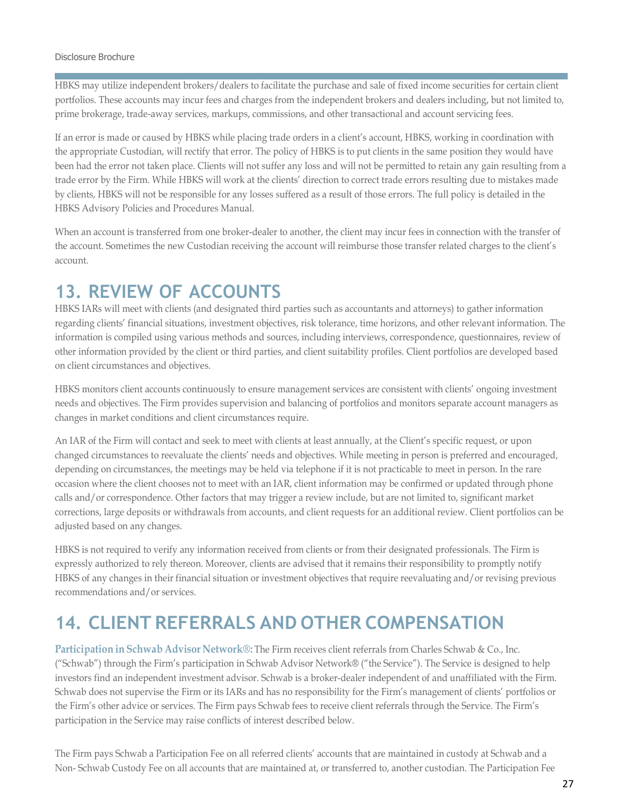HBKS may utilize independent brokers/dealers to facilitate the purchase and sale of fixed income securities for certain client portfolios. These accounts may incur fees and charges from the independent brokers and dealers including, but not limited to, prime brokerage, trade-away services, markups, commissions, and other transactional and account servicing fees.

If an error is made or caused by HBKS while placing trade orders in a client's account, HBKS, working in coordination with the appropriate Custodian, will rectify that error. The policy of HBKS is to put clients in the same position they would have been had the error not taken place. Clients will not suffer any loss and will not be permitted to retain any gain resulting from a trade error by the Firm. While HBKS will work at the clients' direction to correct trade errors resulting due to mistakes made by clients, HBKS will not be responsible for any losses suffered as a result of those errors. The full policy is detailed in the HBKS Advisory Policies and Procedures Manual.

When an account is transferred from one broker-dealer to another, the client may incur fees in connection with the transfer of the account. Sometimes the new Custodian receiving the account will reimburse those transfer related charges to the client's account.

### <span id="page-26-0"></span>**13. REVIEW OF ACCOUNTS**

HBKS IARs will meet with clients (and designated third parties such as accountants and attorneys) to gather information regarding clients' financial situations, investment objectives, risk tolerance, time horizons, and other relevant information. The information is compiled using various methods and sources, including interviews, correspondence, questionnaires, review of other information provided by the client or third parties, and client suitability profiles. Client portfolios are developed based on client circumstances and objectives.

HBKS monitors client accounts continuously to ensure management services are consistent with clients' ongoing investment needs and objectives. The Firm provides supervision and balancing of portfolios and monitors separate account managers as changes in market conditions and client circumstances require.

An IAR of the Firm will contact and seek to meet with clients at least annually, at the Client's specific request, or upon changed circumstances to reevaluate the clients' needs and objectives. While meeting in person is preferred and encouraged, depending on circumstances, the meetings may be held via telephone if it is not practicable to meet in person. In the rare occasion where the client chooses not to meet with an IAR, client information may be confirmed or updated through phone calls and/or correspondence. Other factors that may trigger a review include, but are not limited to, significant market corrections, large deposits or withdrawals from accounts, and client requests for an additional review. Client portfolios can be adjusted based on any changes.

HBKS is not required to verify any information received from clients or from their designated professionals. The Firm is expressly authorized to rely thereon. Moreover, clients are advised that it remains their responsibility to promptly notify HBKS of any changes in their financial situation or investment objectives that require reevaluating and/or revising previous recommendations and/or services.

## <span id="page-26-1"></span>**14. CLIENT REFERRALS AND OTHER COMPENSATION**

**Participation in Schwab Advisor Network®:** The Firm receives client referrals from Charles Schwab & Co., Inc. ("Schwab") through the Firm's participation in Schwab Advisor Network® ("the Service"). The Service is designed to help investors find an independent investment advisor. Schwab is a broker-dealer independent of and unaffiliated with the Firm. Schwab does not supervise the Firm or its IARs and has no responsibility for the Firm's management of clients' portfolios or the Firm's other advice or services. The Firm pays Schwab fees to receive client referrals through the Service. The Firm's participation in the Service may raise conflicts of interest described below.

The Firm pays Schwab a Participation Fee on all referred clients' accounts that are maintained in custody at Schwab and a Non- Schwab Custody Fee on all accounts that are maintained at, or transferred to, another custodian. The Participation Fee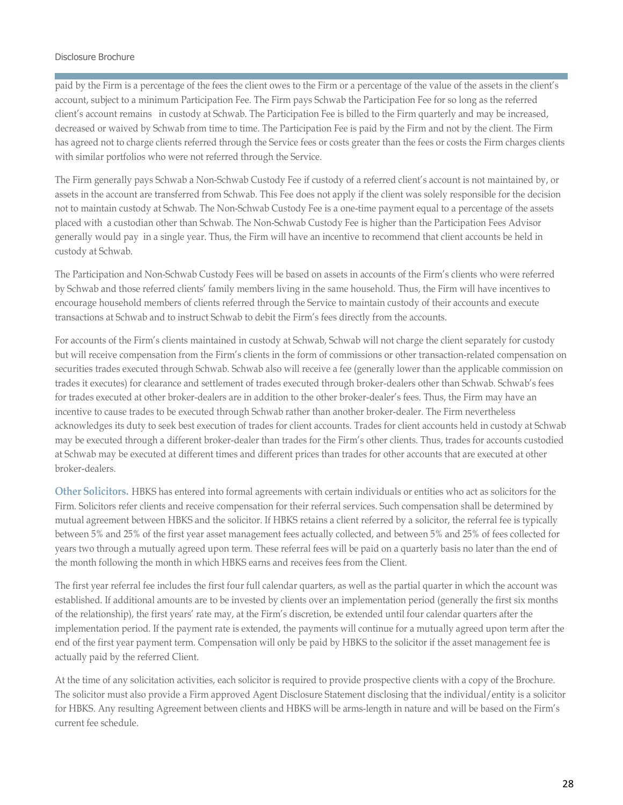paid by the Firm is a percentage of the fees the client owes to the Firm or a percentage of the value of the assets in the client's account, subject to a minimum Participation Fee. The Firm pays Schwab the Participation Fee for so long as the referred client's account remains in custody at Schwab. The Participation Fee is billed to the Firm quarterly and may be increased, decreased or waived by Schwab from time to time. The Participation Fee is paid by the Firm and not by the client. The Firm has agreed not to charge clients referred through the Service fees or costs greater than the fees or costs the Firm charges clients with similar portfolios who were not referred through the Service.

The Firm generally pays Schwab a Non-Schwab Custody Fee if custody of a referred client's account is not maintained by, or assets in the account are transferred from Schwab. This Fee does not apply if the client was solely responsible for the decision not to maintain custody at Schwab. The Non-Schwab Custody Fee is a one-time payment equal to a percentage of the assets placed with a custodian other than Schwab. The Non-Schwab Custody Fee is higher than the Participation Fees Advisor generally would pay in a single year. Thus, the Firm will have an incentive to recommend that client accounts be held in custody at Schwab.

The Participation and Non-Schwab Custody Fees will be based on assets in accounts of the Firm's clients who were referred by Schwab and those referred clients' family members living in the same household. Thus, the Firm will have incentives to encourage household members of clients referred through the Service to maintain custody of their accounts and execute transactions at Schwab and to instruct Schwab to debit the Firm's fees directly from the accounts.

For accounts of the Firm's clients maintained in custody at Schwab, Schwab will not charge the client separately for custody but will receive compensation from the Firm's clients in the form of commissions or other transaction-related compensation on securities trades executed through Schwab. Schwab also will receive a fee (generally lower than the applicable commission on trades it executes) for clearance and settlement of trades executed through broker-dealers other than Schwab. Schwab's fees for trades executed at other broker-dealers are in addition to the other broker-dealer's fees. Thus, the Firm may have an incentive to cause trades to be executed through Schwab rather than another broker-dealer. The Firm nevertheless acknowledges its duty to seek best execution of trades for client accounts. Trades for client accounts held in custody at Schwab may be executed through a different broker-dealer than trades for the Firm's other clients. Thus, trades for accounts custodied at Schwab may be executed at different times and different prices than trades for other accounts that are executed at other broker-dealers.

**Other Solicitors.** HBKS has entered into formal agreements with certain individuals or entities who act as solicitors for the Firm. Solicitors refer clients and receive compensation for their referral services. Such compensation shall be determined by mutual agreement between HBKS and the solicitor. If HBKS retains a client referred by a solicitor, the referral fee is typically between 5% and 25% of the first year asset management fees actually collected, and between 5% and 25% of fees collected for years two through a mutually agreed upon term. These referral fees will be paid on a quarterly basis no later than the end of the month following the month in which HBKS earns and receives fees from the Client.

The first year referral fee includes the first four full calendar quarters, as well as the partial quarter in which the account was established. If additional amounts are to be invested by clients over an implementation period (generally the first six months of the relationship), the first years' rate may, at the Firm's discretion, be extended until four calendar quarters after the implementation period. If the payment rate is extended, the payments will continue for a mutually agreed upon term after the end of the first year payment term. Compensation will only be paid by HBKS to the solicitor if the asset management fee is actually paid by the referred Client.

At the time of any solicitation activities, each solicitor is required to provide prospective clients with a copy of the Brochure. The solicitor must also provide a Firm approved Agent Disclosure Statement disclosing that the individual/entity is a solicitor for HBKS. Any resulting Agreement between clients and HBKS will be arms-length in nature and will be based on the Firm's current fee schedule.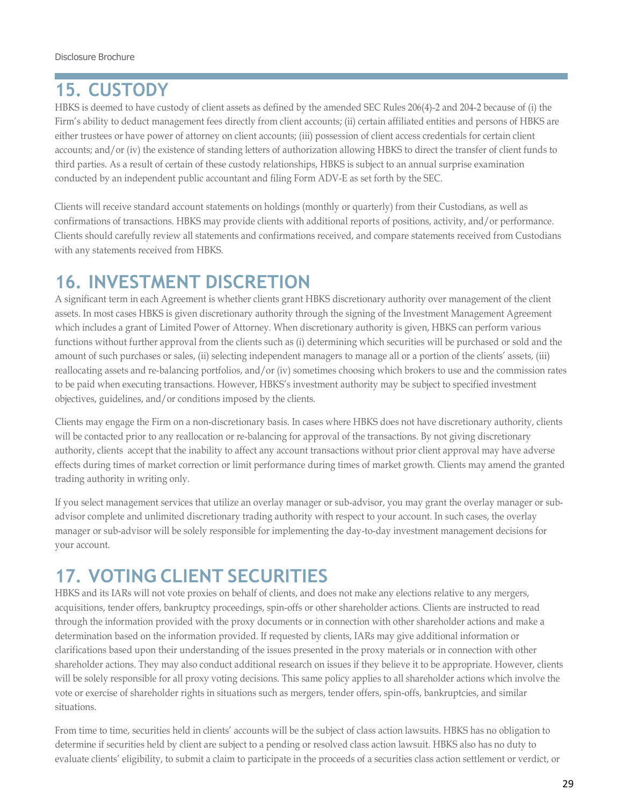## <span id="page-28-0"></span>**15. CUSTODY**

HBKS is deemed to have custody of client assets as defined by the amended SEC Rules 206(4)-2 and 204-2 because of (i) the Firm's ability to deduct management fees directly from client accounts; (ii) certain affiliated entities and persons of HBKS are either trustees or have power of attorney on client accounts; (iii) possession of client access credentials for certain client accounts; and/or (iv) the existence of standing letters of authorization allowing HBKS to direct the transfer of client funds to third parties. As a result of certain of these custody relationships, HBKS is subject to an annual surprise examination conducted by an independent public accountant and filing Form ADV-E as set forth by the SEC.

Clients will receive standard account statements on holdings (monthly or quarterly) from their Custodians, as well as confirmations of transactions. HBKS may provide clients with additional reports of positions, activity, and/or performance. Clients should carefully review all statements and confirmations received, and compare statements received from Custodians with any statements received from HBKS.

# <span id="page-28-1"></span>**16. INVESTMENT DISCRETION**

A significant term in each Agreement is whether clients grant HBKS discretionary authority over management of the client assets. In most cases HBKS is given discretionary authority through the signing of the Investment Management Agreement which includes a grant of Limited Power of Attorney. When discretionary authority is given, HBKS can perform various functions without further approval from the clients such as (i) determining which securities will be purchased or sold and the amount of such purchases or sales, (ii) selecting independent managers to manage all or a portion of the clients' assets, (iii) reallocating assets and re-balancing portfolios, and/or (iv) sometimes choosing which brokers to use and the commission rates to be paid when executing transactions. However, HBKS's investment authority may be subject to specified investment objectives, guidelines, and/or conditions imposed by the clients.

Clients may engage the Firm on a non-discretionary basis. In cases where HBKS does not have discretionary authority, clients will be contacted prior to any reallocation or re-balancing for approval of the transactions. By not giving discretionary authority, clients accept that the inability to affect any account transactions without prior client approval may have adverse effects during times of market correction or limit performance during times of market growth. Clients may amend the granted trading authority in writing only.

If you select management services that utilize an overlay manager or sub-advisor, you may grant the overlay manager or subadvisor complete and unlimited discretionary trading authority with respect to your account. In such cases, the overlay manager or sub-advisor will be solely responsible for implementing the day-to-day investment management decisions for your account.

## <span id="page-28-2"></span>**17. VOTING CLIENT SECURITIES**

HBKS and its IARs will not vote proxies on behalf of clients, and does not make any elections relative to any mergers, acquisitions, tender offers, bankruptcy proceedings, spin-offs or other shareholder actions. Clients are instructed to read through the information provided with the proxy documents or in connection with other shareholder actions and make a determination based on the information provided. If requested by clients, IARs may give additional information or clarifications based upon their understanding of the issues presented in the proxy materials or in connection with other shareholder actions. They may also conduct additional research on issues if they believe it to be appropriate. However, clients will be solely responsible for all proxy voting decisions. This same policy applies to all shareholder actions which involve the vote or exercise of shareholder rights in situations such as mergers, tender offers, spin-offs, bankruptcies, and similar situations.

From time to time, securities held in clients' accounts will be the subject of class action lawsuits. HBKS has no obligation to determine if securities held by client are subject to a pending or resolved class action lawsuit. HBKS also has no duty to evaluate clients' eligibility, to submit a claim to participate in the proceeds of a securities class action settlement or verdict, or